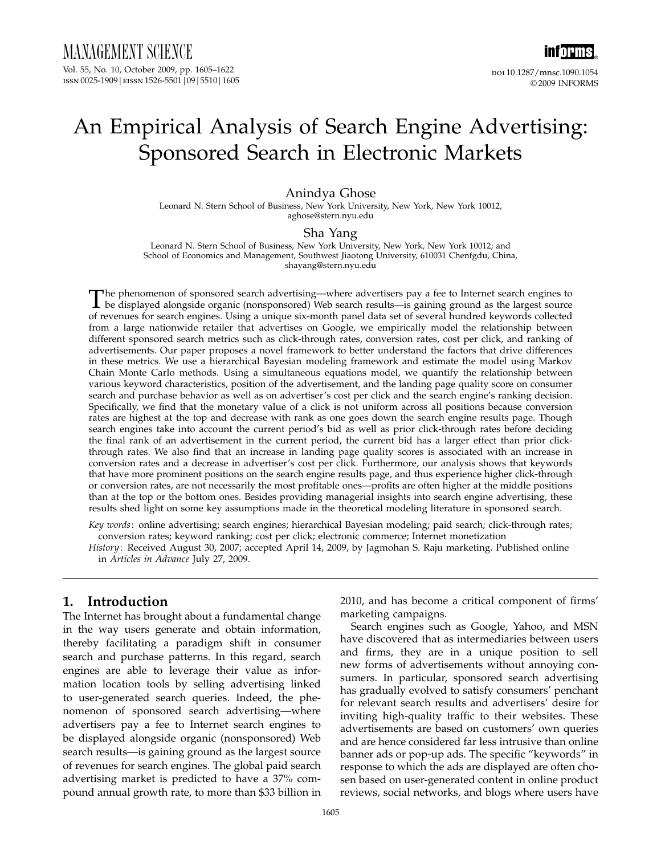# An Empirical Analysis of Search Engine Advertising: Sponsored Search in Electronic Markets

### Anindya Ghose

Leonard N. Stern School of Business, New York University, New York, New York 10012, aghose@stern.nyu.edu

#### Sha Yang

Leonard N. Stern School of Business, New York University, New York, New York 10012; and School of Economics and Management, Southwest Jiaotong University, 610031 Chenfgdu, China, shayang@stern.nyu.edu

The phenomenon of sponsored search advertising—where advertisers pay a fee to Internet search engines to<br>be displayed alongside organic (nonsponsored) Web search results—is gaining ground as the largest source<br>of revenues of revenues for search engines. Using a unique six-month panel data set of several hundred keywords collected from a large nationwide retailer that advertises on Google, we empirically model the relationship between different sponsored search metrics such as click-through rates, conversion rates, cost per click, and ranking of advertisements. Our paper proposes a novel framework to better understand the factors that drive differences in these metrics. We use a hierarchical Bayesian modeling framework and estimate the model using Markov Chain Monte Carlo methods. Using a simultaneous equations model, we quantify the relationship between various keyword characteristics, position of the advertisement, and the landing page quality score on consumer search and purchase behavior as well as on advertiser's cost per click and the search engine's ranking decision. Specifically, we find that the monetary value of a click is not uniform across all positions because conversion rates are highest at the top and decrease with rank as one goes down the search engine results page. Though search engines take into account the current period's bid as well as prior click-through rates before deciding the final rank of an advertisement in the current period, the current bid has a larger effect than prior clickthrough rates. We also find that an increase in landing page quality scores is associated with an increase in conversion rates and a decrease in advertiser's cost per click. Furthermore, our analysis shows that keywords that have more prominent positions on the search engine results page, and thus experience higher click-through or conversion rates, are not necessarily the most profitable ones—profits are often higher at the middle positions than at the top or the bottom ones. Besides providing managerial insights into search engine advertising, these results shed light on some key assumptions made in the theoretical modeling literature in sponsored search.

Key words: online advertising; search engines; hierarchical Bayesian modeling; paid search; click-through rates; conversion rates; keyword ranking; cost per click; electronic commerce; Internet monetization

History: Received August 30, 2007; accepted April 14, 2009, by Jagmohan S. Raju marketing. Published online in Articles in Advance July 27, 2009.

## 1. Introduction

The Internet has brought about a fundamental change in the way users generate and obtain information, thereby facilitating a paradigm shift in consumer search and purchase patterns. In this regard, search engines are able to leverage their value as information location tools by selling advertising linked to user-generated search queries. Indeed, the phenomenon of sponsored search advertising—where advertisers pay a fee to Internet search engines to be displayed alongside organic (nonsponsored) Web search results—is gaining ground as the largest source of revenues for search engines. The global paid search advertising market is predicted to have a 37% compound annual growth rate, to more than \$33 billion in

2010, and has become a critical component of firms' marketing campaigns.

Search engines such as Google, Yahoo, and MSN have discovered that as intermediaries between users and firms, they are in a unique position to sell new forms of advertisements without annoying consumers. In particular, sponsored search advertising has gradually evolved to satisfy consumers' penchant for relevant search results and advertisers' desire for inviting high-quality traffic to their websites. These advertisements are based on customers' own queries and are hence considered far less intrusive than online banner ads or pop-up ads. The specific "keywords" in response to which the ads are displayed are often chosen based on user-generated content in online product reviews, social networks, and blogs where users have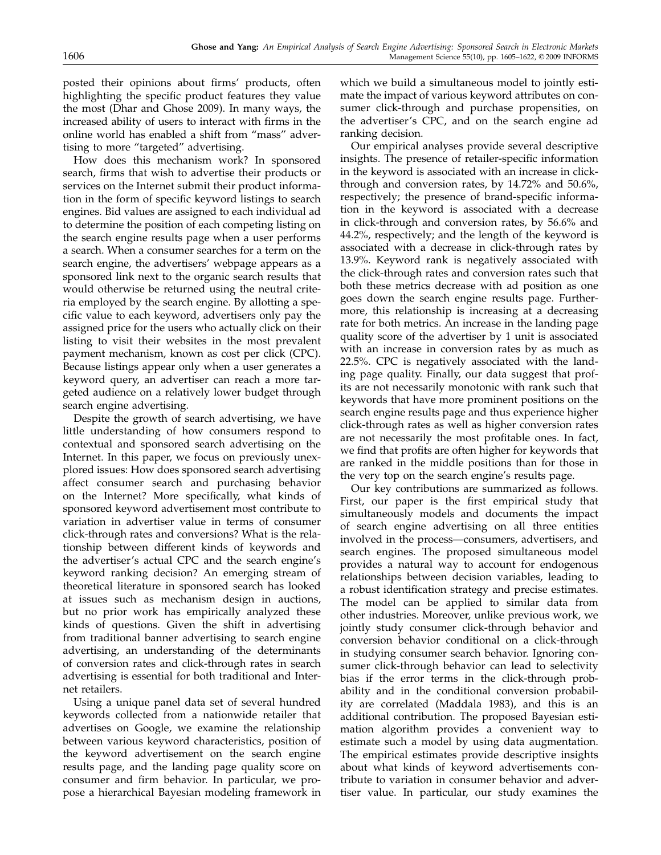posted their opinions about firms' products, often highlighting the specific product features they value the most (Dhar and Ghose 2009). In many ways, the increased ability of users to interact with firms in the online world has enabled a shift from "mass" advertising to more "targeted" advertising.

How does this mechanism work? In sponsored search, firms that wish to advertise their products or services on the Internet submit their product information in the form of specific keyword listings to search engines. Bid values are assigned to each individual ad to determine the position of each competing listing on the search engine results page when a user performs a search. When a consumer searches for a term on the search engine, the advertisers' webpage appears as a sponsored link next to the organic search results that would otherwise be returned using the neutral criteria employed by the search engine. By allotting a specific value to each keyword, advertisers only pay the assigned price for the users who actually click on their listing to visit their websites in the most prevalent payment mechanism, known as cost per click (CPC). Because listings appear only when a user generates a keyword query, an advertiser can reach a more targeted audience on a relatively lower budget through search engine advertising.

Despite the growth of search advertising, we have little understanding of how consumers respond to contextual and sponsored search advertising on the Internet. In this paper, we focus on previously unexplored issues: How does sponsored search advertising affect consumer search and purchasing behavior on the Internet? More specifically, what kinds of sponsored keyword advertisement most contribute to variation in advertiser value in terms of consumer click-through rates and conversions? What is the relationship between different kinds of keywords and the advertiser's actual CPC and the search engine's keyword ranking decision? An emerging stream of theoretical literature in sponsored search has looked at issues such as mechanism design in auctions, but no prior work has empirically analyzed these kinds of questions. Given the shift in advertising from traditional banner advertising to search engine advertising, an understanding of the determinants of conversion rates and click-through rates in search advertising is essential for both traditional and Internet retailers.

Using a unique panel data set of several hundred keywords collected from a nationwide retailer that advertises on Google, we examine the relationship between various keyword characteristics, position of the keyword advertisement on the search engine results page, and the landing page quality score on consumer and firm behavior. In particular, we propose a hierarchical Bayesian modeling framework in

which we build a simultaneous model to jointly estimate the impact of various keyword attributes on consumer click-through and purchase propensities, on the advertiser's CPC, and on the search engine ad ranking decision.

Our empirical analyses provide several descriptive insights. The presence of retailer-specific information in the keyword is associated with an increase in clickthrough and conversion rates, by 14.72% and 50.6%, respectively; the presence of brand-specific information in the keyword is associated with a decrease in click-through and conversion rates, by 56.6% and 44.2%, respectively; and the length of the keyword is associated with a decrease in click-through rates by 13.9%. Keyword rank is negatively associated with the click-through rates and conversion rates such that both these metrics decrease with ad position as one goes down the search engine results page. Furthermore, this relationship is increasing at a decreasing rate for both metrics. An increase in the landing page quality score of the advertiser by 1 unit is associated with an increase in conversion rates by as much as 22.5%. CPC is negatively associated with the landing page quality. Finally, our data suggest that profits are not necessarily monotonic with rank such that keywords that have more prominent positions on the search engine results page and thus experience higher click-through rates as well as higher conversion rates are not necessarily the most profitable ones. In fact, we find that profits are often higher for keywords that are ranked in the middle positions than for those in the very top on the search engine's results page.

Our key contributions are summarized as follows. First, our paper is the first empirical study that simultaneously models and documents the impact of search engine advertising on all three entities involved in the process—consumers, advertisers, and search engines. The proposed simultaneous model provides a natural way to account for endogenous relationships between decision variables, leading to a robust identification strategy and precise estimates. The model can be applied to similar data from other industries. Moreover, unlike previous work, we jointly study consumer click-through behavior and conversion behavior conditional on a click-through in studying consumer search behavior. Ignoring consumer click-through behavior can lead to selectivity bias if the error terms in the click-through probability and in the conditional conversion probability are correlated (Maddala 1983), and this is an additional contribution. The proposed Bayesian estimation algorithm provides a convenient way to estimate such a model by using data augmentation. The empirical estimates provide descriptive insights about what kinds of keyword advertisements contribute to variation in consumer behavior and advertiser value. In particular, our study examines the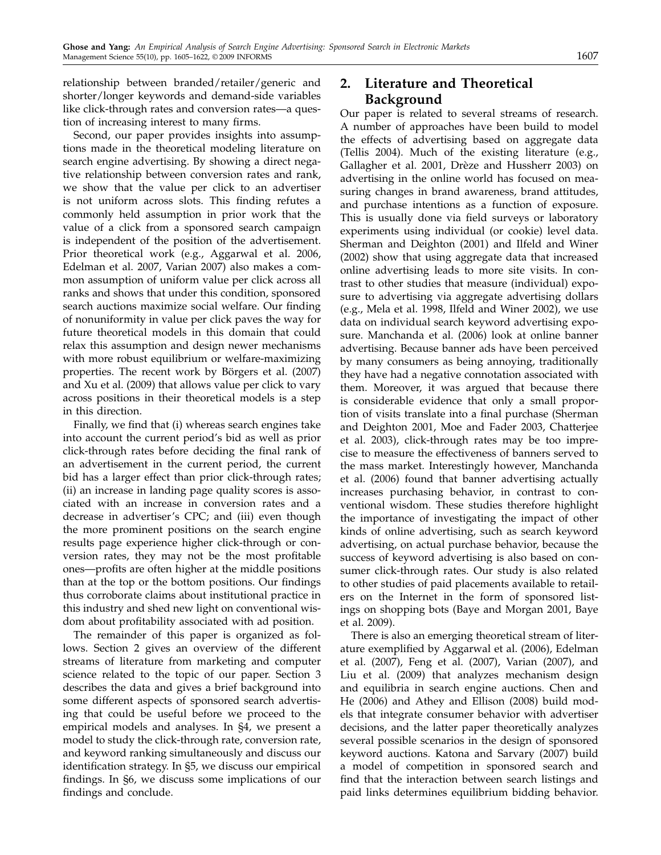relationship between branded/retailer/generic and shorter/longer keywords and demand-side variables

tion of increasing interest to many firms. Second, our paper provides insights into assumptions made in the theoretical modeling literature on search engine advertising. By showing a direct negative relationship between conversion rates and rank, we show that the value per click to an advertiser is not uniform across slots. This finding refutes a commonly held assumption in prior work that the value of a click from a sponsored search campaign is independent of the position of the advertisement. Prior theoretical work (e.g., Aggarwal et al. 2006, Edelman et al. 2007, Varian 2007) also makes a common assumption of uniform value per click across all ranks and shows that under this condition, sponsored search auctions maximize social welfare. Our finding of nonuniformity in value per click paves the way for future theoretical models in this domain that could relax this assumption and design newer mechanisms with more robust equilibrium or welfare-maximizing properties. The recent work by Börgers et al. (2007) and Xu et al. (2009) that allows value per click to vary across positions in their theoretical models is a step in this direction.

like click-through rates and conversion rates—a ques-

Finally, we find that (i) whereas search engines take into account the current period's bid as well as prior click-through rates before deciding the final rank of an advertisement in the current period, the current bid has a larger effect than prior click-through rates; (ii) an increase in landing page quality scores is associated with an increase in conversion rates and a decrease in advertiser's CPC; and (iii) even though the more prominent positions on the search engine results page experience higher click-through or conversion rates, they may not be the most profitable ones—profits are often higher at the middle positions than at the top or the bottom positions. Our findings thus corroborate claims about institutional practice in this industry and shed new light on conventional wisdom about profitability associated with ad position.

The remainder of this paper is organized as follows. Section 2 gives an overview of the different streams of literature from marketing and computer science related to the topic of our paper. Section 3 describes the data and gives a brief background into some different aspects of sponsored search advertising that could be useful before we proceed to the empirical models and analyses. In §4, we present a model to study the click-through rate, conversion rate, and keyword ranking simultaneously and discuss our identification strategy. In §5, we discuss our empirical findings. In §6, we discuss some implications of our findings and conclude.

## 2. Literature and Theoretical Background

Our paper is related to several streams of research. A number of approaches have been build to model the effects of advertising based on aggregate data (Tellis 2004). Much of the existing literature (e.g., Gallagher et al. 2001, Drèze and Hussherr 2003) on advertising in the online world has focused on measuring changes in brand awareness, brand attitudes, and purchase intentions as a function of exposure. This is usually done via field surveys or laboratory experiments using individual (or cookie) level data. Sherman and Deighton (2001) and Ilfeld and Winer (2002) show that using aggregate data that increased online advertising leads to more site visits. In contrast to other studies that measure (individual) exposure to advertising via aggregate advertising dollars (e.g., Mela et al. 1998, Ilfeld and Winer 2002), we use data on individual search keyword advertising exposure. Manchanda et al. (2006) look at online banner advertising. Because banner ads have been perceived by many consumers as being annoying, traditionally they have had a negative connotation associated with them. Moreover, it was argued that because there is considerable evidence that only a small proportion of visits translate into a final purchase (Sherman and Deighton 2001, Moe and Fader 2003, Chatterjee et al. 2003), click-through rates may be too imprecise to measure the effectiveness of banners served to the mass market. Interestingly however, Manchanda et al. (2006) found that banner advertising actually increases purchasing behavior, in contrast to conventional wisdom. These studies therefore highlight the importance of investigating the impact of other kinds of online advertising, such as search keyword advertising, on actual purchase behavior, because the success of keyword advertising is also based on consumer click-through rates. Our study is also related to other studies of paid placements available to retailers on the Internet in the form of sponsored listings on shopping bots (Baye and Morgan 2001, Baye et al. 2009).

There is also an emerging theoretical stream of literature exemplified by Aggarwal et al. (2006), Edelman et al. (2007), Feng et al. (2007), Varian (2007), and Liu et al. (2009) that analyzes mechanism design and equilibria in search engine auctions. Chen and He (2006) and Athey and Ellison (2008) build models that integrate consumer behavior with advertiser decisions, and the latter paper theoretically analyzes several possible scenarios in the design of sponsored keyword auctions. Katona and Sarvary (2007) build a model of competition in sponsored search and find that the interaction between search listings and paid links determines equilibrium bidding behavior.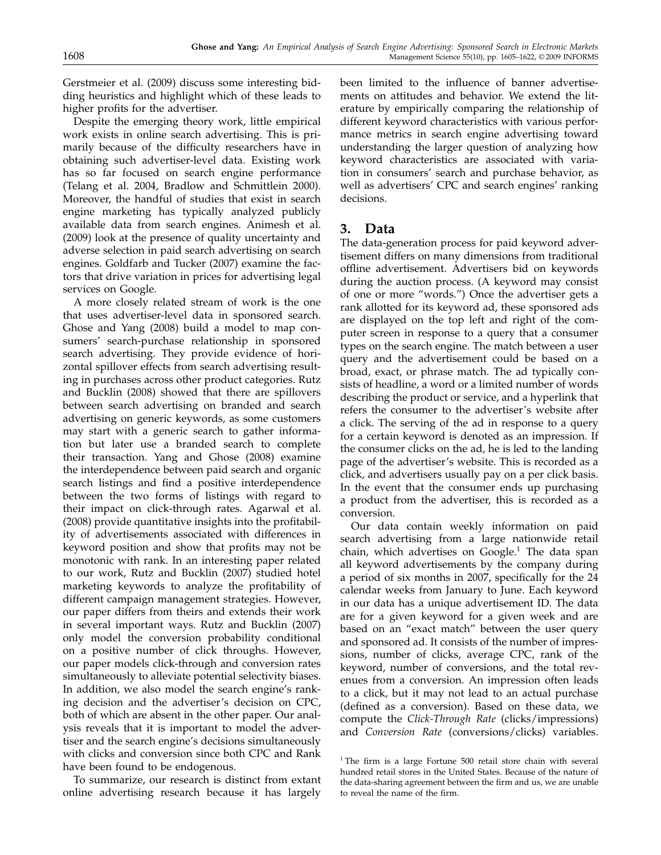Gerstmeier et al. (2009) discuss some interesting bidding heuristics and highlight which of these leads to higher profits for the advertiser.

Despite the emerging theory work, little empirical work exists in online search advertising. This is primarily because of the difficulty researchers have in obtaining such advertiser-level data. Existing work has so far focused on search engine performance (Telang et al. 2004, Bradlow and Schmittlein 2000). Moreover, the handful of studies that exist in search engine marketing has typically analyzed publicly available data from search engines. Animesh et al. (2009) look at the presence of quality uncertainty and adverse selection in paid search advertising on search engines. Goldfarb and Tucker (2007) examine the factors that drive variation in prices for advertising legal services on Google.

A more closely related stream of work is the one that uses advertiser-level data in sponsored search. Ghose and Yang (2008) build a model to map consumers' search-purchase relationship in sponsored search advertising. They provide evidence of horizontal spillover effects from search advertising resulting in purchases across other product categories. Rutz and Bucklin (2008) showed that there are spillovers between search advertising on branded and search advertising on generic keywords, as some customers may start with a generic search to gather information but later use a branded search to complete their transaction. Yang and Ghose (2008) examine the interdependence between paid search and organic search listings and find a positive interdependence between the two forms of listings with regard to their impact on click-through rates. Agarwal et al. (2008) provide quantitative insights into the profitability of advertisements associated with differences in keyword position and show that profits may not be monotonic with rank. In an interesting paper related to our work, Rutz and Bucklin (2007) studied hotel marketing keywords to analyze the profitability of different campaign management strategies. However, our paper differs from theirs and extends their work in several important ways. Rutz and Bucklin (2007) only model the conversion probability conditional on a positive number of click throughs. However, our paper models click-through and conversion rates simultaneously to alleviate potential selectivity biases. In addition, we also model the search engine's ranking decision and the advertiser's decision on CPC, both of which are absent in the other paper. Our analysis reveals that it is important to model the advertiser and the search engine's decisions simultaneously with clicks and conversion since both CPC and Rank have been found to be endogenous.

To summarize, our research is distinct from extant online advertising research because it has largely been limited to the influence of banner advertisements on attitudes and behavior. We extend the literature by empirically comparing the relationship of different keyword characteristics with various performance metrics in search engine advertising toward understanding the larger question of analyzing how keyword characteristics are associated with variation in consumers' search and purchase behavior, as well as advertisers' CPC and search engines' ranking decisions.

## 3. Data

The data-generation process for paid keyword advertisement differs on many dimensions from traditional offline advertisement. Advertisers bid on keywords during the auction process. (A keyword may consist of one or more "words.") Once the advertiser gets a rank allotted for its keyword ad, these sponsored ads are displayed on the top left and right of the computer screen in response to a query that a consumer types on the search engine. The match between a user query and the advertisement could be based on a broad, exact, or phrase match. The ad typically consists of headline, a word or a limited number of words describing the product or service, and a hyperlink that refers the consumer to the advertiser's website after a click. The serving of the ad in response to a query for a certain keyword is denoted as an impression. If the consumer clicks on the ad, he is led to the landing page of the advertiser's website. This is recorded as a click, and advertisers usually pay on a per click basis. In the event that the consumer ends up purchasing a product from the advertiser, this is recorded as a conversion.

Our data contain weekly information on paid search advertising from a large nationwide retail chain, which advertises on  $Google<sup>1</sup>$ . The data span all keyword advertisements by the company during a period of six months in 2007, specifically for the 24 calendar weeks from January to June. Each keyword in our data has a unique advertisement ID. The data are for a given keyword for a given week and are based on an "exact match" between the user query and sponsored ad. It consists of the number of impressions, number of clicks, average CPC, rank of the keyword, number of conversions, and the total revenues from a conversion. An impression often leads to a click, but it may not lead to an actual purchase (defined as a conversion). Based on these data, we compute the Click-Through Rate (clicks/impressions) and Conversion Rate (conversions/clicks) variables.

 $1$ <sup>1</sup> The firm is a large Fortune 500 retail store chain with several hundred retail stores in the United States. Because of the nature of the data-sharing agreement between the firm and us, we are unable to reveal the name of the firm.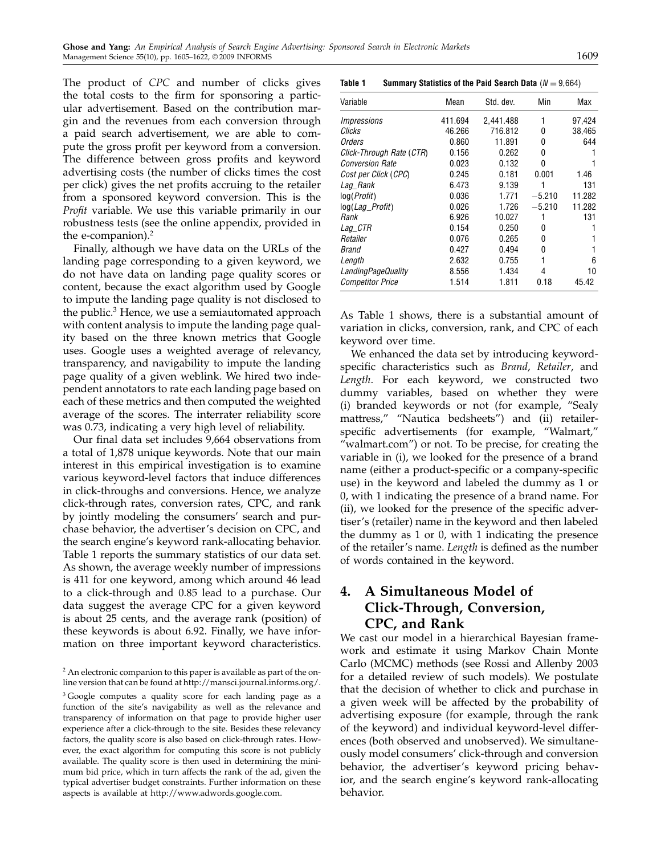The product of CPC and number of clicks gives the total costs to the firm for sponsoring a particular advertisement. Based on the contribution margin and the revenues from each conversion through a paid search advertisement, we are able to compute the gross profit per keyword from a conversion. The difference between gross profits and keyword advertising costs (the number of clicks times the cost per click) gives the net profits accruing to the retailer from a sponsored keyword conversion. This is the Profit variable. We use this variable primarily in our robustness tests (see the online appendix, provided in the e-companion).<sup>2</sup>

Finally, although we have data on the URLs of the landing page corresponding to a given keyword, we do not have data on landing page quality scores or content, because the exact algorithm used by Google to impute the landing page quality is not disclosed to the public.<sup>3</sup> Hence, we use a semiautomated approach with content analysis to impute the landing page quality based on the three known metrics that Google uses. Google uses a weighted average of relevancy, transparency, and navigability to impute the landing page quality of a given weblink. We hired two independent annotators to rate each landing page based on each of these metrics and then computed the weighted average of the scores. The interrater reliability score was 0.73, indicating a very high level of reliability.

Our final data set includes 9,664 observations from a total of 1,878 unique keywords. Note that our main interest in this empirical investigation is to examine various keyword-level factors that induce differences in click-throughs and conversions. Hence, we analyze click-through rates, conversion rates, CPC, and rank by jointly modeling the consumers' search and purchase behavior, the advertiser's decision on CPC, and the search engine's keyword rank-allocating behavior. Table 1 reports the summary statistics of our data set. As shown, the average weekly number of impressions is 411 for one keyword, among which around 46 lead to a click-through and 0.85 lead to a purchase. Our data suggest the average CPC for a given keyword is about 25 cents, and the average rank (position) of these keywords is about 6.92. Finally, we have information on three important keyword characteristics.

Table 1 Summary Statistics of the Paid Search Data ( $N = 9,664$ )

| Variable                      | Mean    | Std. dev. | Min      | Max    |
|-------------------------------|---------|-----------|----------|--------|
| Impressions                   | 411.694 | 2,441.488 | 1        | 97.424 |
| Clicks                        | 46.266  | 716.812   | 0        | 38,465 |
| Orders                        | 0.860   | 11.891    | 0        | 644    |
| Click-Through Rate (CTR)      | 0.156   | 0.262     | 0        |        |
| <i><b>Conversion Rate</b></i> | 0.023   | 0.132     | 0        |        |
| Cost per Click (CPC)          | 0.245   | 0.181     | 0.001    | 1.46   |
| Lag_Rank                      | 6.473   | 9.139     | 1        | 131    |
| log(Profit)                   | 0.036   | 1.771     | $-5.210$ | 11.282 |
| log( <i>Lag_Profit</i> )      | 0.026   | 1.726     | $-5.210$ | 11.282 |
| Rank                          | 6.926   | 10.027    |          | 131    |
| Lag_CTR                       | 0.154   | 0.250     | n        |        |
| Retailer                      | 0.076   | 0.265     | U        |        |
| <i>Brand</i>                  | 0.427   | 0.494     | 0        |        |
| Length                        | 2.632   | 0.755     | 1        | 6      |
| LandingPageQuality            | 8.556   | 1.434     | 4        | 10     |
| <b>Competitor Price</b>       | 1.514   | 1.811     | 0.18     | 45.42  |

As Table 1 shows, there is a substantial amount of variation in clicks, conversion, rank, and CPC of each keyword over time.

We enhanced the data set by introducing keywordspecific characteristics such as Brand, Retailer, and Length. For each keyword, we constructed two dummy variables, based on whether they were (i) branded keywords or not (for example, "Sealy mattress," "Nautica bedsheets") and (ii) retailerspecific advertisements (for example, "Walmart," "walmart.com") or not. To be precise, for creating the variable in (i), we looked for the presence of a brand name (either a product-specific or a company-specific use) in the keyword and labeled the dummy as 1 or 0, with 1 indicating the presence of a brand name. For (ii), we looked for the presence of the specific advertiser's (retailer) name in the keyword and then labeled the dummy as 1 or 0, with 1 indicating the presence of the retailer's name. Length is defined as the number of words contained in the keyword.

## 4. A Simultaneous Model of Click-Through, Conversion, CPC, and Rank

We cast our model in a hierarchical Bayesian framework and estimate it using Markov Chain Monte Carlo (MCMC) methods (see Rossi and Allenby 2003 for a detailed review of such models). We postulate that the decision of whether to click and purchase in a given week will be affected by the probability of advertising exposure (for example, through the rank of the keyword) and individual keyword-level differences (both observed and unobserved). We simultaneously model consumers' click-through and conversion behavior, the advertiser's keyword pricing behavior, and the search engine's keyword rank-allocating behavior.

<sup>&</sup>lt;sup>2</sup> An electronic companion to this paper is available as part of the online version that can be found at http://mansci.journal.informs.org/.

<sup>&</sup>lt;sup>3</sup> Google computes a quality score for each landing page as a function of the site's navigability as well as the relevance and transparency of information on that page to provide higher user experience after a click-through to the site. Besides these relevancy factors, the quality score is also based on click-through rates. However, the exact algorithm for computing this score is not publicly available. The quality score is then used in determining the minimum bid price, which in turn affects the rank of the ad, given the typical advertiser budget constraints. Further information on these aspects is available at http://www.adwords.google.com.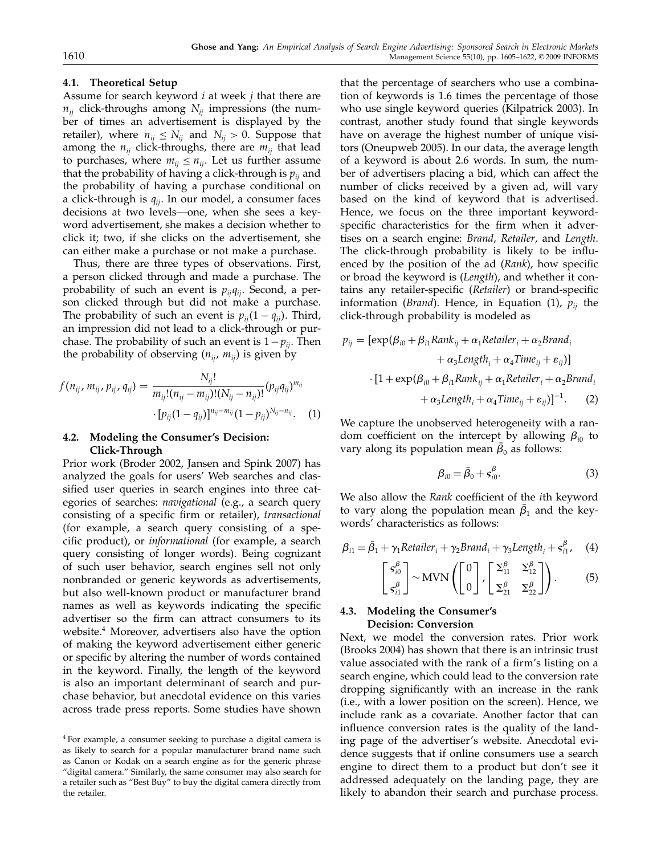#### 4.1. Theoretical Setup

Assume for search keyword  $i$  at week  $j$  that there are  $n_{ij}$  click-throughs among  $N_{ij}$  impressions (the number of times an advertisement is displayed by the retailer), where  $n_{ij} \leq N_{ij}$  and  $N_{ij} > 0$ . Suppose that among the  $n_{ij}$  click-throughs, there are  $m_{ij}$  that lead to purchases, where  $m_{ii} \leq n_{ii}$ . Let us further assume that the probability of having a click-through is  $p_{ii}$  and the probability of having a purchase conditional on a click-through is  $q_{ii}$ . In our model, a consumer faces decisions at two levels—one, when she sees a keyword advertisement, she makes a decision whether to click it; two, if she clicks on the advertisement, she can either make a purchase or not make a purchase.

Thus, there are three types of observations. First, a person clicked through and made a purchase. The probability of such an event is  $p_{ij}q_{ij}$ . Second, a person clicked through but did not make a purchase. The probability of such an event is  $p_{ij}(1 - q_{ij})$ . Third, an impression did not lead to a click-through or purchase. The probability of such an event is  $1-p_{ij}$ . Then the probability of observing  $(n_{ii}, m_{ii})$  is given by

$$
f(n_{ij}, m_{ij}, p_{ij}, q_{ij}) = \frac{N_{ij}!}{m_{ij}!(n_{ij} - m_{ij})!(N_{ij} - n_{ij})!} (p_{ij}q_{ij})^{m_{ij}} + [p_{ij}(1 - q_{ij})]^{n_{ij} - m_{ij}} (1 - p_{ij})^{N_{ij} - n_{ij}}.
$$
 (1)

#### 4.2. Modeling the Consumer's Decision: Click-Through

Prior work (Broder 2002, Jansen and Spink 2007) has analyzed the goals for users' Web searches and classified user queries in search engines into three categories of searches: navigational (e.g., a search query consisting of a specific firm or retailer), transactional (for example, a search query consisting of a specific product), or informational (for example, a search query consisting of longer words). Being cognizant of such user behavior, search engines sell not only nonbranded or generic keywords as advertisements, but also well-known product or manufacturer brand names as well as keywords indicating the specific advertiser so the firm can attract consumers to its website.4 Moreover, advertisers also have the option of making the keyword advertisement either generic or specific by altering the number of words contained in the keyword. Finally, the length of the keyword is also an important determinant of search and purchase behavior, but anecdotal evidence on this varies across trade press reports. Some studies have shown

that the percentage of searchers who use a combination of keywords is 1.6 times the percentage of those who use single keyword queries (Kilpatrick 2003). In contrast, another study found that single keywords have on average the highest number of unique visitors (Oneupweb 2005). In our data, the average length of a keyword is about 2.6 words. In sum, the number of advertisers placing a bid, which can affect the number of clicks received by a given ad, will vary based on the kind of keyword that is advertised. Hence, we focus on the three important keywordspecific characteristics for the firm when it advertises on a search engine: Brand, Retailer, and Length. The click-through probability is likely to be influenced by the position of the ad (Rank), how specific or broad the keyword is (Length), and whether it contains any retailer-specific (Retailer) or brand-specific information (*Brand*). Hence, in Equation (1),  $p_{ii}$  the click-through probability is modeled as

$$
p_{ij} = [\exp(\beta_{i0} + \beta_{i1}Rank_{ij} + \alpha_1Retailer_i + \alpha_2Brand_i+ \alpha_3Length_i + \alpha_4 Time_{ij} + \varepsilon_{ij})]
$$

$$
\cdot [1 + \exp(\beta_{i0} + \beta_{i1}Rank_{ij} + \alpha_1Retailer_i + \alpha_2 Brand_i+ \alpha_3Length_i + \alpha_4 Time_{ij} + \varepsilon_{ij})]^{-1}.
$$
 (2)

We capture the unobserved heterogeneity with a random coefficient on the intercept by allowing  $\beta_{i0}$  to vary along its population mean  $\beta_0$  as follows:

$$
\beta_{i0} = \bar{\beta}_0 + s_{i0}^{\beta}.
$$
 (3)

We also allow the Rank coefficient of the *i*th keyword to vary along the population mean  $\beta_1$  and the keywords' characteristics as follows:

$$
\beta_{i1} = \bar{\beta}_1 + \gamma_1 Retailer_i + \gamma_2 Brand_i + \gamma_3Length_i + s_{i1}^{\beta}, \quad (4)
$$

$$
\begin{bmatrix} s_{i0}^{\beta} \\ s_{i1}^{\beta} \end{bmatrix} \sim \text{MVN} \left( \begin{bmatrix} 0 \\ 0 \end{bmatrix}, \begin{bmatrix} \Sigma_{11}^{\beta} & \Sigma_{12}^{\beta} \\ \Sigma_{21}^{\beta} & \Sigma_{22}^{\beta} \end{bmatrix} \right). \tag{5}
$$

#### 4.3. Modeling the Consumer's Decision: Conversion

Next, we model the conversion rates. Prior work (Brooks 2004) has shown that there is an intrinsic trust value associated with the rank of a firm's listing on a search engine, which could lead to the conversion rate dropping significantly with an increase in the rank (i.e., with a lower position on the screen). Hence, we include rank as a covariate. Another factor that can influence conversion rates is the quality of the landing page of the advertiser's website. Anecdotal evidence suggests that if online consumers use a search engine to direct them to a product but don't see it addressed adequately on the landing page, they are likely to abandon their search and purchase process.

<sup>4</sup> For example, a consumer seeking to purchase a digital camera is as likely to search for a popular manufacturer brand name such as Canon or Kodak on a search engine as for the generic phrase "digital camera." Similarly, the same consumer may also search for a retailer such as "Best Buy" to buy the digital camera directly from the retailer.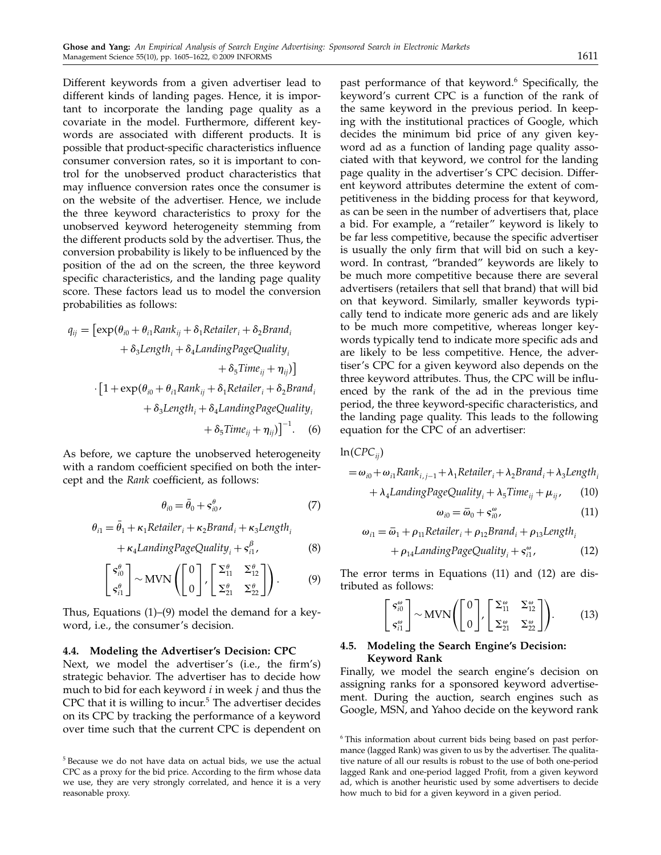Different keywords from a given advertiser lead to different kinds of landing pages. Hence, it is important to incorporate the landing page quality as a covariate in the model. Furthermore, different keywords are associated with different products. It is possible that product-specific characteristics influence consumer conversion rates, so it is important to control for the unobserved product characteristics that may influence conversion rates once the consumer is on the website of the advertiser. Hence, we include the three keyword characteristics to proxy for the unobserved keyword heterogeneity stemming from the different products sold by the advertiser. Thus, the conversion probability is likely to be influenced by the position of the ad on the screen, the three keyword specific characteristics, and the landing page quality score. These factors lead us to model the conversion probabilities as follows:

$$
q_{ij} = [\exp(\theta_{i0} + \theta_{i1}Rank_{ij} + \delta_1Retailer_i + \delta_2Brand_i+ \delta_3Length_i + \delta_4LandingPageQuality_i+ \delta_5Time_{ij} + \eta_{ij})]
$$

$$
\cdot [1 + \exp(\theta_{i0} + \theta_{i1}Rank_{ij} + \delta_1Retailer_i + \delta_2Brand_i+ \delta_3Length_i + \delta_4LandingPageQuality_i+ \delta_5Time_{ij} + \eta_{ij})]^{-1}.
$$
 (6)

As before, we capture the unobserved heterogeneity with a random coefficient specified on both the intercept and the Rank coefficient, as follows:

$$
\theta_{i0} = \bar{\theta}_0 + s_{i0}^{\theta},\tag{7}
$$

$$
\theta_{i1} = \bar{\theta}_1 + \kappa_1 Retailer_i + \kappa_2 Brand_i + \kappa_3Length_i
$$
  
+  $\kappa_4LandingPageQuality_i + s_{i1}^{\beta}$ , (8)

$$
\begin{bmatrix} s_{i0}^{\theta} \\ s_{i1}^{\theta} \end{bmatrix} \sim \text{MVN} \left( \begin{bmatrix} 0 \\ 0 \end{bmatrix}, \begin{bmatrix} \Sigma_{11}^{\theta} & \Sigma_{12}^{\theta} \\ \Sigma_{21}^{\theta} & \Sigma_{22}^{\theta} \end{bmatrix} \right). \tag{9}
$$

Thus, Equations (1)–(9) model the demand for a keyword, i.e., the consumer's decision.

#### 4.4. Modeling the Advertiser's Decision: CPC

Next, we model the advertiser's (i.e., the firm's) strategic behavior. The advertiser has to decide how much to bid for each keyword  $i$  in week  $j$  and thus the CPC that it is willing to incur. $5$  The advertiser decides on its CPC by tracking the performance of a keyword over time such that the current CPC is dependent on

past performance of that keyword.<sup>6</sup> Specifically, the keyword's current CPC is a function of the rank of the same keyword in the previous period. In keeping with the institutional practices of Google, which decides the minimum bid price of any given keyword ad as a function of landing page quality associated with that keyword, we control for the landing page quality in the advertiser's CPC decision. Different keyword attributes determine the extent of competitiveness in the bidding process for that keyword, as can be seen in the number of advertisers that, place a bid. For example, a "retailer" keyword is likely to be far less competitive, because the specific advertiser is usually the only firm that will bid on such a keyword. In contrast, "branded" keywords are likely to be much more competitive because there are several advertisers (retailers that sell that brand) that will bid on that keyword. Similarly, smaller keywords typically tend to indicate more generic ads and are likely to be much more competitive, whereas longer keywords typically tend to indicate more specific ads and are likely to be less competitive. Hence, the advertiser's CPC for a given keyword also depends on the three keyword attributes. Thus, the CPC will be influenced by the rank of the ad in the previous time period, the three keyword-specific characteristics, and the landing page quality. This leads to the following equation for the CPC of an advertiser:

 $\ln(CPC_{ij})$ 

$$
= \omega_{i0} + \omega_{i1} Rank_{i,j-1} + \lambda_1 Retailer_i + \lambda_2 Brand_i + \lambda_3 Length_i
$$

$$
+ \lambda_4 LandingPageQuality_i + \lambda_5 Time_{ij} + \mu_{ij}, \qquad (10)
$$

$$
\omega_{i0} = \bar{\omega}_0 + s_{i0}^{\omega}, \qquad (11)
$$

$$
\omega_{i1} = \bar{\omega}_1 + \rho_{11} \text{Retailer}_i + \rho_{12} \text{Brand}_i + \rho_{13} \text{Length}_i
$$

$$
+ \rho_{14} \text{LandingPageQuality}_i + s_{i1}^{\omega}, \tag{12}
$$

The error terms in Equations (11) and (12) are distributed as follows:

$$
\begin{bmatrix} s_{i0}^{\omega} \\ s_{i1}^{\omega} \end{bmatrix} \sim \text{MVN} \left( \begin{bmatrix} 0 \\ 0 \end{bmatrix}, \begin{bmatrix} \Sigma_{11}^{\omega} & \Sigma_{12}^{\omega} \\ \Sigma_{21}^{\omega} & \Sigma_{22}^{\omega} \end{bmatrix} \right). \tag{13}
$$

#### 4.5. Modeling the Search Engine's Decision: Keyword Rank

Finally, we model the search engine's decision on assigning ranks for a sponsored keyword advertisement. During the auction, search engines such as Google, MSN, and Yahoo decide on the keyword rank

<sup>5</sup> Because we do not have data on actual bids, we use the actual CPC as a proxy for the bid price. According to the firm whose data we use, they are very strongly correlated, and hence it is a very reasonable proxy.

<sup>&</sup>lt;sup>6</sup> This information about current bids being based on past performance (lagged Rank) was given to us by the advertiser. The qualitative nature of all our results is robust to the use of both one-period lagged Rank and one-period lagged Profit, from a given keyword ad, which is another heuristic used by some advertisers to decide how much to bid for a given keyword in a given period.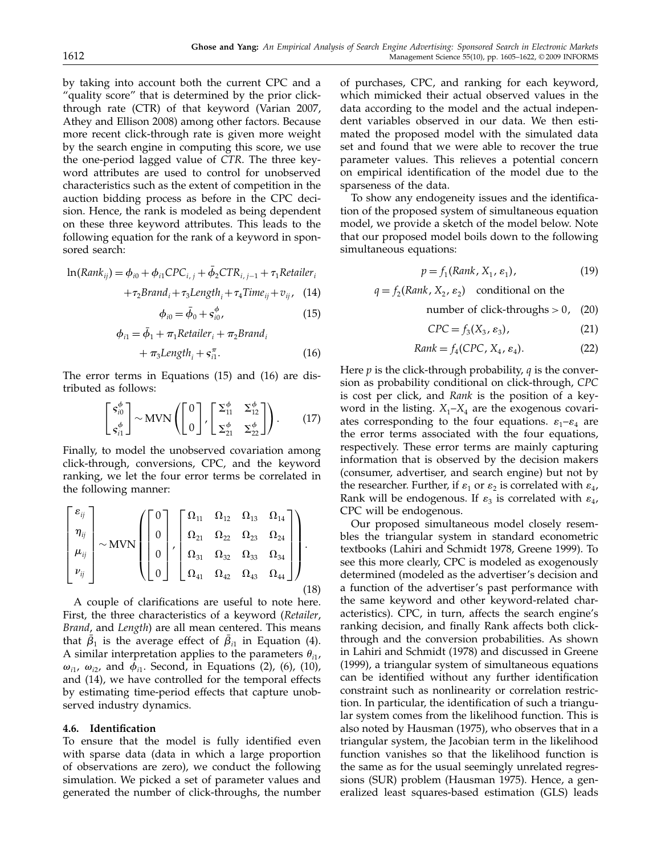by taking into account both the current CPC and a "quality score" that is determined by the prior clickthrough rate (CTR) of that keyword (Varian 2007, Athey and Ellison 2008) among other factors. Because more recent click-through rate is given more weight by the search engine in computing this score, we use the one-period lagged value of CTR. The three keyword attributes are used to control for unobserved characteristics such as the extent of competition in the auction bidding process as before in the CPC decision. Hence, the rank is modeled as being dependent on these three keyword attributes. This leads to the following equation for the rank of a keyword in sponsored search:

$$
\ln(Rank_{ij}) = \phi_{i0} + \phi_{i1} CPC_{i,j} + \bar{\phi}_2 CTR_{i,j-1} + \tau_1 Retailer_i
$$
  
+ $\tau$  *Brand* + $\tau$  *Length* + $\tau$  *Time* + $\tau$  (14)

$$
+\tau_2 Brand_i+\tau_3Length_i+\tau_4Time_{ij}+v_{ij},\quad (14)
$$

$$
\phi_{i0} = \bar{\phi}_0 + s_{i0}^{\phi}, \tag{15}
$$

$$
\phi_{i1} = \bar{\phi}_1 + \pi_1 Retailer_i + \pi_2 Brand_i
$$

$$
+\pi_3 Length_i + s_{i1}^{\pi}.
$$
 (16)

The error terms in Equations (15) and (16) are distributed as follows:

$$
\begin{bmatrix} s_{i0}^{\phi} \\ s_{i1}^{\phi} \end{bmatrix} \sim \text{MVN} \left( \begin{bmatrix} 0 \\ 0 \end{bmatrix}, \begin{bmatrix} \Sigma_{11}^{\phi} & \Sigma_{12}^{\phi} \\ \Sigma_{21}^{\phi} & \Sigma_{22}^{\phi} \end{bmatrix} \right). \tag{17}
$$

Finally, to model the unobserved covariation among click-through, conversions, CPC, and the keyword ranking, we let the four error terms be correlated in the following manner:

$$
\begin{bmatrix} \varepsilon_{ij} \\ \eta_{ij} \\ \mu_{ij} \\ \nu_{ij} \end{bmatrix} \sim \text{MVN} \left( \begin{bmatrix} 0 \\ 0 \\ 0 \\ 0 \end{bmatrix}, \begin{bmatrix} \Omega_{11} & \Omega_{12} & \Omega_{13} & \Omega_{14} \\ \Omega_{21} & \Omega_{22} & \Omega_{23} & \Omega_{24} \\ \Omega_{31} & \Omega_{32} & \Omega_{33} & \Omega_{34} \\ \Omega_{41} & \Omega_{42} & \Omega_{43} & \Omega_{44} \end{bmatrix} \right).
$$
\n(18)

A couple of clarifications are useful to note here. First, the three characteristics of a keyword (Retailer, Brand, and Length) are all mean centered. This means that  $\beta_1$  is the average effect of  $\beta_{i1}$  in Equation (4). A similar interpretation applies to the parameters  $\theta_{i1}$ ,  $\omega_{i1}$ ,  $\omega_{i2}$ , and  $\phi_{i1}$ . Second, in Equations (2), (6), (10), and (14), we have controlled for the temporal effects by estimating time-period effects that capture unobserved industry dynamics.

#### 4.6. Identification

To ensure that the model is fully identified even with sparse data (data in which a large proportion of observations are zero), we conduct the following simulation. We picked a set of parameter values and generated the number of click-throughs, the number

of purchases, CPC, and ranking for each keyword, which mimicked their actual observed values in the data according to the model and the actual independent variables observed in our data. We then estimated the proposed model with the simulated data set and found that we were able to recover the true parameter values. This relieves a potential concern on empirical identification of the model due to the sparseness of the data.

To show any endogeneity issues and the identification of the proposed system of simultaneous equation model, we provide a sketch of the model below. Note that our proposed model boils down to the following simultaneous equations:

$$
p = f_1(Rank, X_1, \varepsilon_1), \tag{19}
$$

 $q = f_2(Rank, X_2, \varepsilon_2)$  conditional on the

number of click-throughs  $> 0$ , (20)

$$
CPC = f_3(X_3, \varepsilon_3), \tag{21}
$$

$$
Rank = f_4(CPC, X_4, \varepsilon_4). \tag{22}
$$

Here  $p$  is the click-through probability,  $q$  is the conversion as probability conditional on click-through, CPC is cost per click, and Rank is the position of a keyword in the listing.  $X_1 - X_4$  are the exogenous covariates corresponding to the four equations.  $\varepsilon_1-\varepsilon_4$  are the error terms associated with the four equations, respectively. These error terms are mainly capturing information that is observed by the decision makers (consumer, advertiser, and search engine) but not by the researcher. Further, if  $\varepsilon_1$  or  $\varepsilon_2$  is correlated with  $\varepsilon_4$ , Rank will be endogenous. If  $\varepsilon_3$  is correlated with  $\varepsilon_4$ , CPC will be endogenous.

Our proposed simultaneous model closely resembles the triangular system in standard econometric textbooks (Lahiri and Schmidt 1978, Greene 1999). To see this more clearly, CPC is modeled as exogenously determined (modeled as the advertiser's decision and a function of the advertiser's past performance with the same keyword and other keyword-related characteristics). CPC, in turn, affects the search engine's ranking decision, and finally Rank affects both clickthrough and the conversion probabilities. As shown in Lahiri and Schmidt (1978) and discussed in Greene (1999), a triangular system of simultaneous equations can be identified without any further identification constraint such as nonlinearity or correlation restriction. In particular, the identification of such a triangular system comes from the likelihood function. This is also noted by Hausman (1975), who observes that in a triangular system, the Jacobian term in the likelihood function vanishes so that the likelihood function is the same as for the usual seemingly unrelated regressions (SUR) problem (Hausman 1975). Hence, a generalized least squares-based estimation (GLS) leads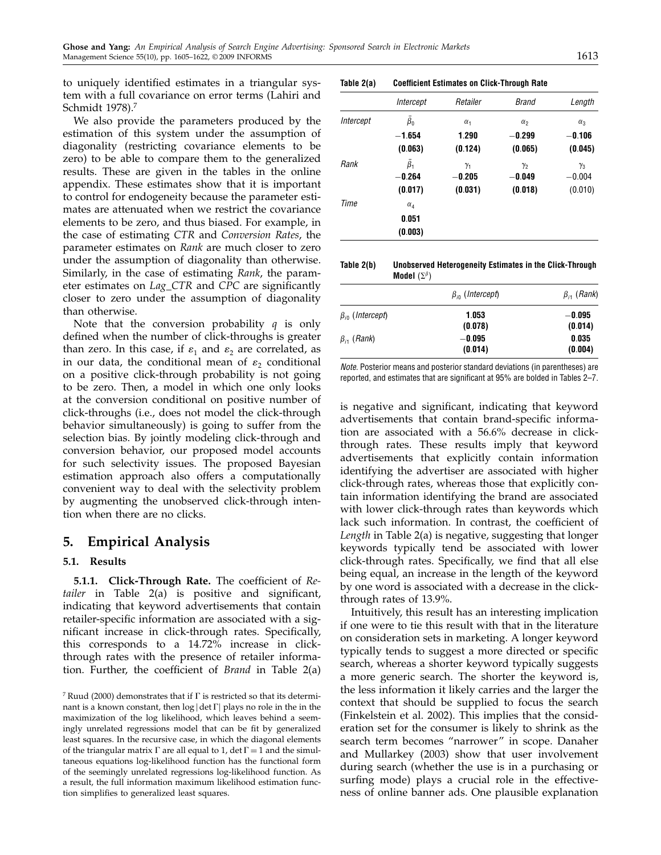to uniquely identified estimates in a triangular system with a full covariance on error terms (Lahiri and Schmidt 1978).<sup>7</sup>

We also provide the parameters produced by the estimation of this system under the assumption of diagonality (restricting covariance elements to be zero) to be able to compare them to the generalized results. These are given in the tables in the online appendix. These estimates show that it is important to control for endogeneity because the parameter estimates are attenuated when we restrict the covariance elements to be zero, and thus biased. For example, in the case of estimating CTR and Conversion Rates, the parameter estimates on Rank are much closer to zero under the assumption of diagonality than otherwise. Similarly, in the case of estimating Rank, the parameter estimates on Lag\_CTR and CPC are significantly closer to zero under the assumption of diagonality than otherwise.

Note that the conversion probability  $q$  is only defined when the number of click-throughs is greater than zero. In this case, if  $\varepsilon_1$  and  $\varepsilon_2$  are correlated, as in our data, the conditional mean of  $\varepsilon_2$  conditional on a positive click-through probability is not going to be zero. Then, a model in which one only looks at the conversion conditional on positive number of click-throughs (i.e., does not model the click-through behavior simultaneously) is going to suffer from the selection bias. By jointly modeling click-through and conversion behavior, our proposed model accounts for such selectivity issues. The proposed Bayesian estimation approach also offers a computationally convenient way to deal with the selectivity problem by augmenting the unobserved click-through intention when there are no clicks.

## 5. Empirical Analysis

#### 5.1. Results

5.1.1. Click-Through Rate. The coefficient of Retailer in Table 2(a) is positive and significant, indicating that keyword advertisements that contain retailer-specific information are associated with a significant increase in click-through rates. Specifically, this corresponds to a 14.72% increase in clickthrough rates with the presence of retailer information. Further, the coefficient of Brand in Table 2(a)

Table 2(a) Coefficient Estimates on Click-Through Rate

|           | Intercept            | Retailer   | <b>Brand</b> | Length     |
|-----------|----------------------|------------|--------------|------------|
| Intercept | $\bar{\beta}_0$      | $\alpha_1$ | $\alpha_{2}$ | $\alpha_3$ |
|           | $-1.654$             | 1.290      | $-0.299$     | $-0.106$   |
|           | (0.063)              | (0.124)    | (0.065)      | (0.045)    |
| Rank      | $\overline{\beta}_1$ | $\gamma_1$ | $\gamma_2$   | $\gamma_3$ |
|           | $-0.264$             | $-0.205$   | $-0.049$     | $-0.004$   |
|           | (0.017)              | (0.031)    | (0.018)      | (0.010)    |
| Time      | $\alpha_4$           |            |              |            |
|           | 0.051                |            |              |            |
|           | (0.003)              |            |              |            |

| Table 2(b) | Unobserved Heterogeneity Estimates in the Click-Through |
|------------|---------------------------------------------------------|
|            | Model $(\Sigma^{\beta})$                                |

|                          | $\beta_{i0}$ (Intercept) | $\beta_{i1}$ (Rank) |  |
|--------------------------|--------------------------|---------------------|--|
| $\beta_{i0}$ (Intercept) | 1.053<br>(0.078)         | $-0.095$<br>(0.014) |  |
| $\beta_{i1}$ (Rank)      | $-0.095$<br>(0.014)      | 0.035<br>(0.004)    |  |

Note. Posterior means and posterior standard deviations (in parentheses) are reported, and estimates that are significant at 95% are bolded in Tables 2–7.

is negative and significant, indicating that keyword advertisements that contain brand-specific information are associated with a 56.6% decrease in clickthrough rates. These results imply that keyword advertisements that explicitly contain information identifying the advertiser are associated with higher click-through rates, whereas those that explicitly contain information identifying the brand are associated with lower click-through rates than keywords which lack such information. In contrast, the coefficient of Length in Table 2(a) is negative, suggesting that longer keywords typically tend be associated with lower click-through rates. Specifically, we find that all else being equal, an increase in the length of the keyword by one word is associated with a decrease in the clickthrough rates of 13.9%.

Intuitively, this result has an interesting implication if one were to tie this result with that in the literature on consideration sets in marketing. A longer keyword typically tends to suggest a more directed or specific search, whereas a shorter keyword typically suggests a more generic search. The shorter the keyword is, the less information it likely carries and the larger the context that should be supplied to focus the search (Finkelstein et al. 2002). This implies that the consideration set for the consumer is likely to shrink as the search term becomes "narrower" in scope. Danaher and Mullarkey (2003) show that user involvement during search (whether the use is in a purchasing or surfing mode) plays a crucial role in the effectiveness of online banner ads. One plausible explanation

<sup>&</sup>lt;sup>7</sup> Ruud (2000) demonstrates that if  $\Gamma$  is restricted so that its determinant is a known constant, then  $\log |\det \Gamma|$  plays no role in the in the maximization of the log likelihood, which leaves behind a seemingly unrelated regressions model that can be fit by generalized least squares. In the recursive case, in which the diagonal elements of the triangular matrix  $\Gamma$  are all equal to 1, det  $\Gamma = 1$  and the simultaneous equations log-likelihood function has the functional form of the seemingly unrelated regressions log-likelihood function. As a result, the full information maximum likelihood estimation function simplifies to generalized least squares.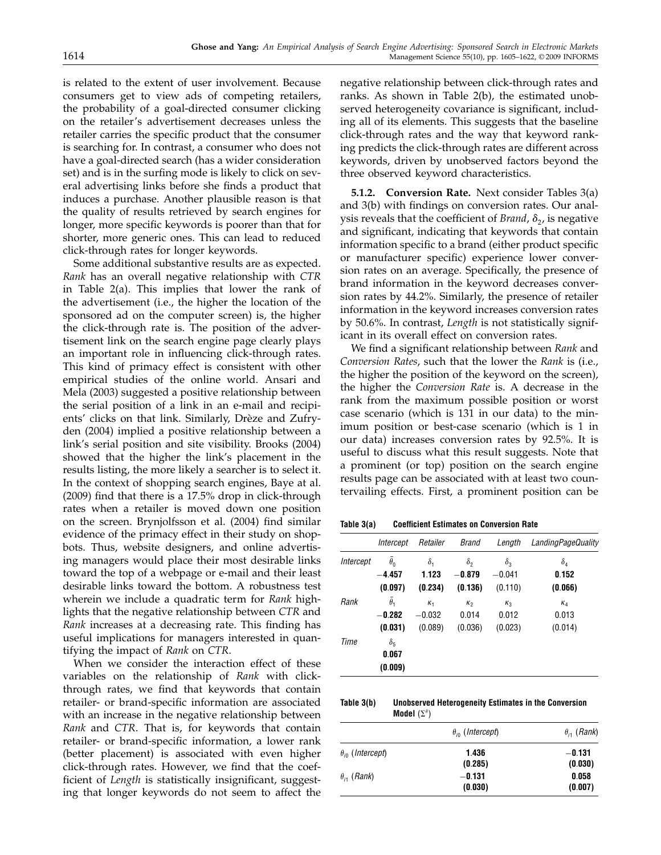is related to the extent of user involvement. Because consumers get to view ads of competing retailers, the probability of a goal-directed consumer clicking on the retailer's advertisement decreases unless the retailer carries the specific product that the consumer is searching for. In contrast, a consumer who does not have a goal-directed search (has a wider consideration set) and is in the surfing mode is likely to click on several advertising links before she finds a product that induces a purchase. Another plausible reason is that the quality of results retrieved by search engines for longer, more specific keywords is poorer than that for shorter, more generic ones. This can lead to reduced click-through rates for longer keywords.

Some additional substantive results are as expected. Rank has an overall negative relationship with CTR in Table 2(a). This implies that lower the rank of the advertisement (i.e., the higher the location of the sponsored ad on the computer screen) is, the higher the click-through rate is. The position of the advertisement link on the search engine page clearly plays an important role in influencing click-through rates. This kind of primacy effect is consistent with other empirical studies of the online world. Ansari and Mela (2003) suggested a positive relationship between the serial position of a link in an e-mail and recipients' clicks on that link. Similarly, Drèze and Zufryden (2004) implied a positive relationship between a link's serial position and site visibility. Brooks (2004) showed that the higher the link's placement in the results listing, the more likely a searcher is to select it. In the context of shopping search engines, Baye at al. (2009) find that there is a 17.5% drop in click-through rates when a retailer is moved down one position on the screen. Brynjolfsson et al. (2004) find similar evidence of the primacy effect in their study on shopbots. Thus, website designers, and online advertising managers would place their most desirable links toward the top of a webpage or e-mail and their least desirable links toward the bottom. A robustness test wherein we include a quadratic term for Rank highlights that the negative relationship between CTR and Rank increases at a decreasing rate. This finding has useful implications for managers interested in quantifying the impact of Rank on CTR.

When we consider the interaction effect of these variables on the relationship of Rank with clickthrough rates, we find that keywords that contain retailer- or brand-specific information are associated with an increase in the negative relationship between Rank and CTR. That is, for keywords that contain retailer- or brand-specific information, a lower rank (better placement) is associated with even higher click-through rates. However, we find that the coefficient of Length is statistically insignificant, suggesting that longer keywords do not seem to affect the

negative relationship between click-through rates and ranks. As shown in Table 2(b), the estimated unobserved heterogeneity covariance is significant, including all of its elements. This suggests that the baseline click-through rates and the way that keyword ranking predicts the click-through rates are different across keywords, driven by unobserved factors beyond the three observed keyword characteristics.

5.1.2. Conversion Rate. Next consider Tables 3(a) and 3(b) with findings on conversion rates. Our analysis reveals that the coefficient of *Brand*,  $\delta_2$ , is negative and significant, indicating that keywords that contain information specific to a brand (either product specific or manufacturer specific) experience lower conversion rates on an average. Specifically, the presence of brand information in the keyword decreases conversion rates by 44.2%. Similarly, the presence of retailer information in the keyword increases conversion rates by 50.6%. In contrast, Length is not statistically significant in its overall effect on conversion rates.

We find a significant relationship between Rank and Conversion Rates, such that the lower the Rank is (i.e., the higher the position of the keyword on the screen), the higher the Conversion Rate is. A decrease in the rank from the maximum possible position or worst case scenario (which is 131 in our data) to the minimum position or best-case scenario (which is 1 in our data) increases conversion rates by 92.5%. It is useful to discuss what this result suggests. Note that a prominent (or top) position on the search engine results page can be associated with at least two countervailing effects. First, a prominent position can be

Table 3(a) Coefficient Estimates on Conversion Rate

|           | Intercept             | Retailer     | <b>Brand</b> | Length     | <b>LandingPageQuality</b> |
|-----------|-----------------------|--------------|--------------|------------|---------------------------|
| Intercept | $\theta_0$            | $\delta_{1}$ | $\delta_2$   | $\delta_3$ | $\delta_4$                |
|           | $-4.457$              | 1.123        | $-0.879$     | $-0.041$   | 0.152                     |
|           | (0.097)               | (0.234)      | (0.136)      | (0.110)    | (0.066)                   |
| Rank      | $\overline{\theta}_1$ | $K_1$        | $\kappa_2$   | $K_3$      | $\kappa_4$                |
|           | $-0.282$              | $-0.032$     | 0.014        | 0.012      | 0.013                     |
|           | (0.031)               | (0.089)      | (0.036)      | (0.023)    | (0.014)                   |
| Time      | $\delta_5$            |              |              |            |                           |
|           | 0.067                 |              |              |            |                           |
|           | (0.009)               |              |              |            |                           |

Table 3(b) Unobserved Heterogeneity Estimates in the Conversion Model  $(\Sigma^\theta)$ 

|                           | $\theta_{i0}$ (Intercept) | $\theta_{i1}$ (Rank) |  |
|---------------------------|---------------------------|----------------------|--|
| $\theta_{in}$ (Intercept) | 1.436<br>(0.285)          | $-0.131$<br>(0.030)  |  |
| $\theta_{i1}$ (Rank)      | $-0.131$<br>(0.030)       | 0.058<br>(0.007)     |  |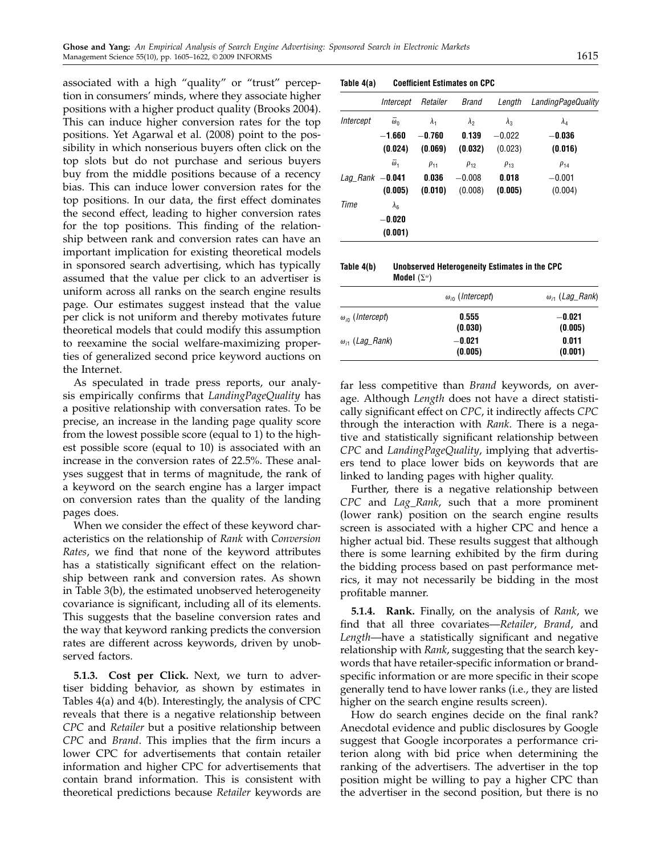associated with a high "quality" or "trust" perception in consumers' minds, where they associate higher positions with a higher product quality (Brooks 2004). This can induce higher conversion rates for the top positions. Yet Agarwal et al. (2008) point to the possibility in which nonserious buyers often click on the top slots but do not purchase and serious buyers buy from the middle positions because of a recency bias. This can induce lower conversion rates for the top positions. In our data, the first effect dominates the second effect, leading to higher conversion rates for the top positions. This finding of the relationship between rank and conversion rates can have an important implication for existing theoretical models in sponsored search advertising, which has typically assumed that the value per click to an advertiser is uniform across all ranks on the search engine results page. Our estimates suggest instead that the value per click is not uniform and thereby motivates future theoretical models that could modify this assumption to reexamine the social welfare-maximizing properties of generalized second price keyword auctions on the Internet.

As speculated in trade press reports, our analysis empirically confirms that LandingPageQuality has a positive relationship with conversation rates. To be precise, an increase in the landing page quality score from the lowest possible score (equal to 1) to the highest possible score (equal to 10) is associated with an increase in the conversion rates of 22.5%. These analyses suggest that in terms of magnitude, the rank of a keyword on the search engine has a larger impact on conversion rates than the quality of the landing pages does.

When we consider the effect of these keyword characteristics on the relationship of Rank with Conversion Rates, we find that none of the keyword attributes has a statistically significant effect on the relationship between rank and conversion rates. As shown in Table 3(b), the estimated unobserved heterogeneity covariance is significant, including all of its elements. This suggests that the baseline conversion rates and the way that keyword ranking predicts the conversion rates are different across keywords, driven by unobserved factors.

5.1.3. Cost per Click. Next, we turn to advertiser bidding behavior, as shown by estimates in Tables 4(a) and 4(b). Interestingly, the analysis of CPC reveals that there is a negative relationship between CPC and Retailer but a positive relationship between CPC and Brand. This implies that the firm incurs a lower CPC for advertisements that contain retailer information and higher CPC for advertisements that contain brand information. This is consistent with theoretical predictions because Retailer keywords are

| Table 4(a) | <b>Coefficient Estimates on CPC</b> |  |  |  |
|------------|-------------------------------------|--|--|--|
|------------|-------------------------------------|--|--|--|

|                   | Intercept                          | Retailer            | <b>Brand</b>        | Length              | LandingPageQuality  |
|-------------------|------------------------------------|---------------------|---------------------|---------------------|---------------------|
| Intercept         | $\bar{\omega}_0$                   | $\lambda_{1}$       | $\lambda_{2}$       | $\lambda_{3}$       | $\lambda_4$         |
|                   | $-1.660$<br>(0.024)                | $-0.760$<br>(0.069) | 0.139<br>(0.032)    | $-0.022$<br>(0.023) | $-0.036$<br>(0.016) |
|                   | $\bar{\omega}_1$                   | $\rho_{11}$         | $\rho_{12}$         | $\rho_{13}$         | $\rho_{14}$         |
| Lag Rank $-0.041$ | (0.005)                            | 0.036<br>(0.010)    | $-0.008$<br>(0.008) | 0.018<br>(0.005)    | $-0.001$<br>(0.004) |
| Time              | $\lambda_6$<br>$-0.020$<br>(0.001) |                     |                     |                     |                     |

| Table 4(b) | Unobserved Heterogeneity Estimates in the CPC |
|------------|-----------------------------------------------|
|            | Model $(\Sigma^\omega)$                       |

|                           | $\omega_{\text{in}}$ (Intercept) | $\omega_{i1}$ (Lag_Rank) |
|---------------------------|----------------------------------|--------------------------|
| $\omega_{i0}$ (Intercept) | 0.555<br>(0.030)                 | $-0.021$<br>(0.005)      |
| $\omega_{i1}$ (Lag Rank)  | $-0.021$<br>(0.005)              | 0.011<br>(0.001)         |

far less competitive than Brand keywords, on average. Although Length does not have a direct statistically significant effect on CPC, it indirectly affects CPC through the interaction with Rank. There is a negative and statistically significant relationship between CPC and LandingPageQuality, implying that advertisers tend to place lower bids on keywords that are linked to landing pages with higher quality.

Further, there is a negative relationship between CPC and Lag\_Rank, such that a more prominent (lower rank) position on the search engine results screen is associated with a higher CPC and hence a higher actual bid. These results suggest that although there is some learning exhibited by the firm during the bidding process based on past performance metrics, it may not necessarily be bidding in the most profitable manner.

5.1.4. Rank. Finally, on the analysis of Rank, we find that all three covariates—Retailer, Brand, and Length—have a statistically significant and negative relationship with Rank, suggesting that the search keywords that have retailer-specific information or brandspecific information or are more specific in their scope generally tend to have lower ranks (i.e., they are listed higher on the search engine results screen).

How do search engines decide on the final rank? Anecdotal evidence and public disclosures by Google suggest that Google incorporates a performance criterion along with bid price when determining the ranking of the advertisers. The advertiser in the top position might be willing to pay a higher CPC than the advertiser in the second position, but there is no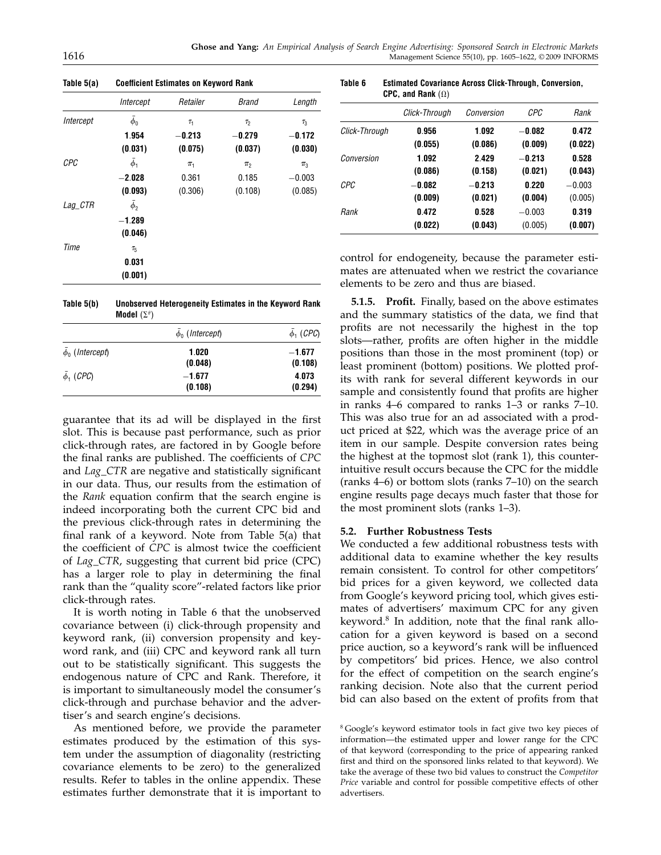|           | Intercept      | Retailer   | <b>Brand</b>       | Length   |
|-----------|----------------|------------|--------------------|----------|
| Intercept | $\bar{\phi}_0$ | $\tau_{1}$ | $\tau_2$           | $\tau_3$ |
|           | 1.954          | $-0.213$   | $-0.279$           | $-0.172$ |
|           | (0.031)        | (0.075)    | (0.037)            | (0.030)  |
| CPC       | $\phi_1$       | $\pi_1$    | $\pi$ <sub>2</sub> | $\pi_3$  |
|           | $-2.028$       | 0.361      | 0.185              | $-0.003$ |
|           | (0.093)        | (0.306)    | (0.108)            | (0.085)  |
| $Lag_CTR$ | $\bar{\phi}_2$ |            |                    |          |
|           | $-1.289$       |            |                    |          |
|           | (0.046)        |            |                    |          |
| Time      | $\tau_{5}$     |            |                    |          |
|           | 0.031          |            |                    |          |
|           | (0.001)        |            |                    |          |

Table 5(a) Coefficient Estimates on Keyword Rank

| Table 5(b) | Unobserved Heterogeneity Estimates in the Keyword Rank |
|------------|--------------------------------------------------------|
|            | Model $(\Sigma^\theta)$                                |

|                      | $\phi_0$ (Intercept) | $\phi_1$ (CPC)      |
|----------------------|----------------------|---------------------|
| $\phi_0$ (Intercept) | 1.020<br>(0.048)     | $-1.677$<br>(0.108) |
| $\bar{\phi}_1$ (CPC) | $-1.677$<br>(0.108)  | 4.073<br>(0.294)    |

guarantee that its ad will be displayed in the first slot. This is because past performance, such as prior click-through rates, are factored in by Google before the final ranks are published. The coefficients of CPC and Lag\_CTR are negative and statistically significant in our data. Thus, our results from the estimation of the Rank equation confirm that the search engine is indeed incorporating both the current CPC bid and the previous click-through rates in determining the final rank of a keyword. Note from Table 5(a) that the coefficient of CPC is almost twice the coefficient of Lag\_CTR, suggesting that current bid price (CPC) has a larger role to play in determining the final rank than the "quality score"-related factors like prior click-through rates.

It is worth noting in Table 6 that the unobserved covariance between (i) click-through propensity and keyword rank, (ii) conversion propensity and keyword rank, and (iii) CPC and keyword rank all turn out to be statistically significant. This suggests the endogenous nature of CPC and Rank. Therefore, it is important to simultaneously model the consumer's click-through and purchase behavior and the advertiser's and search engine's decisions.

As mentioned before, we provide the parameter estimates produced by the estimation of this system under the assumption of diagonality (restricting covariance elements to be zero) to the generalized results. Refer to tables in the online appendix. These estimates further demonstrate that it is important to

Table 6 Estimated Covariance Across Click-Through, Conversion, CPC, and Rank  $(\Omega)$ 

|               | Click-Through | Conversion | <b>CPC</b> | Rank     |
|---------------|---------------|------------|------------|----------|
| Click-Through | 0.956         | 1.092      | $-0.082$   | 0.472    |
|               | (0.055)       | (0.086)    | (0.009)    | (0.022)  |
| Conversion    | 1.092         | 2.429      | $-0.213$   | 0.528    |
|               | (0.086)       | (0.158)    | (0.021)    | (0.043)  |
| CPC           | $-0.082$      | $-0.213$   | 0.220      | $-0.003$ |
|               | (0.009)       | (0.021)    | (0.004)    | (0.005)  |
| Rank          | 0.472         | 0.528      | $-0.003$   | 0.319    |
|               | (0.022)       | (0.043)    | (0.005)    | (0.007)  |
|               |               |            |            |          |

control for endogeneity, because the parameter estimates are attenuated when we restrict the covariance elements to be zero and thus are biased.

5.1.5. Profit. Finally, based on the above estimates and the summary statistics of the data, we find that profits are not necessarily the highest in the top slots—rather, profits are often higher in the middle positions than those in the most prominent (top) or least prominent (bottom) positions. We plotted profits with rank for several different keywords in our sample and consistently found that profits are higher in ranks 4–6 compared to ranks 1–3 or ranks 7–10. This was also true for an ad associated with a product priced at \$22, which was the average price of an item in our sample. Despite conversion rates being the highest at the topmost slot (rank 1), this counterintuitive result occurs because the CPC for the middle (ranks 4–6) or bottom slots (ranks 7–10) on the search engine results page decays much faster that those for the most prominent slots (ranks 1–3).

#### 5.2. Further Robustness Tests

We conducted a few additional robustness tests with additional data to examine whether the key results remain consistent. To control for other competitors' bid prices for a given keyword, we collected data from Google's keyword pricing tool, which gives estimates of advertisers' maximum CPC for any given keyword. $8$  In addition, note that the final rank allocation for a given keyword is based on a second price auction, so a keyword's rank will be influenced by competitors' bid prices. Hence, we also control for the effect of competition on the search engine's ranking decision. Note also that the current period bid can also based on the extent of profits from that

<sup>8</sup> Google's keyword estimator tools in fact give two key pieces of information—the estimated upper and lower range for the CPC of that keyword (corresponding to the price of appearing ranked first and third on the sponsored links related to that keyword). We take the average of these two bid values to construct the Competitor Price variable and control for possible competitive effects of other advertisers.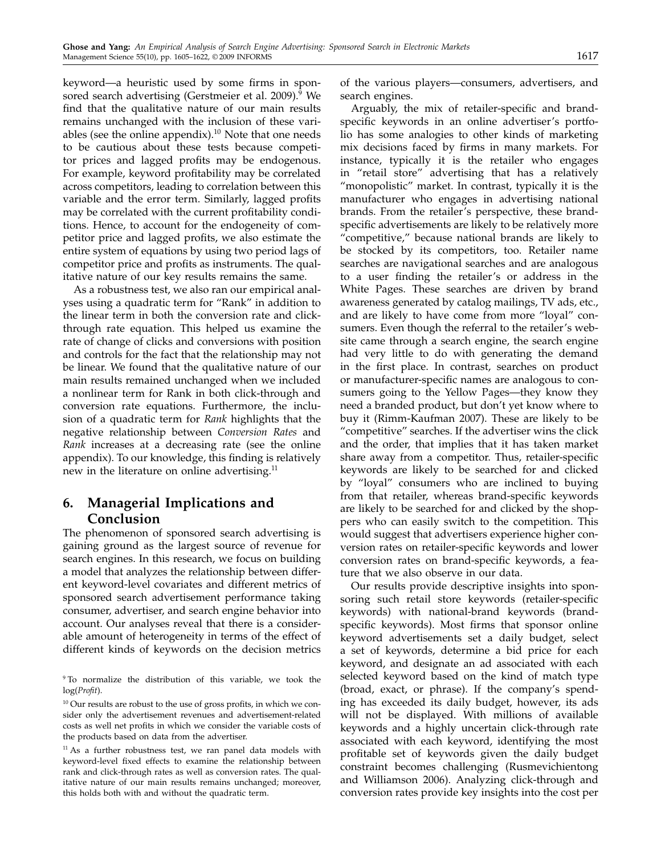keyword—a heuristic used by some firms in sponsored search advertising (Gerstmeier et al. 2009).<sup>9</sup> We find that the qualitative nature of our main results remains unchanged with the inclusion of these variables (see the online appendix). $10$  Note that one needs to be cautious about these tests because competitor prices and lagged profits may be endogenous. For example, keyword profitability may be correlated across competitors, leading to correlation between this variable and the error term. Similarly, lagged profits may be correlated with the current profitability conditions. Hence, to account for the endogeneity of competitor price and lagged profits, we also estimate the entire system of equations by using two period lags of competitor price and profits as instruments. The qualitative nature of our key results remains the same.

As a robustness test, we also ran our empirical analyses using a quadratic term for "Rank" in addition to the linear term in both the conversion rate and clickthrough rate equation. This helped us examine the rate of change of clicks and conversions with position and controls for the fact that the relationship may not be linear. We found that the qualitative nature of our main results remained unchanged when we included a nonlinear term for Rank in both click-through and conversion rate equations. Furthermore, the inclusion of a quadratic term for Rank highlights that the negative relationship between Conversion Rates and Rank increases at a decreasing rate (see the online appendix). To our knowledge, this finding is relatively new in the literature on online advertising. $11$ 

## 6. Managerial Implications and Conclusion

The phenomenon of sponsored search advertising is gaining ground as the largest source of revenue for search engines. In this research, we focus on building a model that analyzes the relationship between different keyword-level covariates and different metrics of sponsored search advertisement performance taking consumer, advertiser, and search engine behavior into account. Our analyses reveal that there is a considerable amount of heterogeneity in terms of the effect of different kinds of keywords on the decision metrics

<sup>9</sup> To normalize the distribution of this variable, we took the log(Profit).

 $10$  Our results are robust to the use of gross profits, in which we consider only the advertisement revenues and advertisement-related costs as well net profits in which we consider the variable costs of the products based on data from the advertiser.

 $11$  As a further robustness test, we ran panel data models with keyword-level fixed effects to examine the relationship between rank and click-through rates as well as conversion rates. The qualitative nature of our main results remains unchanged; moreover, this holds both with and without the quadratic term.

of the various players—consumers, advertisers, and search engines.

Arguably, the mix of retailer-specific and brandspecific keywords in an online advertiser's portfolio has some analogies to other kinds of marketing mix decisions faced by firms in many markets. For instance, typically it is the retailer who engages in "retail store" advertising that has a relatively "monopolistic" market. In contrast, typically it is the manufacturer who engages in advertising national brands. From the retailer's perspective, these brandspecific advertisements are likely to be relatively more "competitive," because national brands are likely to be stocked by its competitors, too. Retailer name searches are navigational searches and are analogous to a user finding the retailer's or address in the White Pages. These searches are driven by brand awareness generated by catalog mailings, TV ads, etc., and are likely to have come from more "loyal" consumers. Even though the referral to the retailer's website came through a search engine, the search engine had very little to do with generating the demand in the first place. In contrast, searches on product or manufacturer-specific names are analogous to consumers going to the Yellow Pages—they know they need a branded product, but don't yet know where to buy it (Rimm-Kaufman 2007). These are likely to be "competitive" searches. If the advertiser wins the click and the order, that implies that it has taken market share away from a competitor. Thus, retailer-specific keywords are likely to be searched for and clicked by "loyal" consumers who are inclined to buying from that retailer, whereas brand-specific keywords are likely to be searched for and clicked by the shoppers who can easily switch to the competition. This would suggest that advertisers experience higher conversion rates on retailer-specific keywords and lower conversion rates on brand-specific keywords, a feature that we also observe in our data.

Our results provide descriptive insights into sponsoring such retail store keywords (retailer-specific keywords) with national-brand keywords (brandspecific keywords). Most firms that sponsor online keyword advertisements set a daily budget, select a set of keywords, determine a bid price for each keyword, and designate an ad associated with each selected keyword based on the kind of match type (broad, exact, or phrase). If the company's spending has exceeded its daily budget, however, its ads will not be displayed. With millions of available keywords and a highly uncertain click-through rate associated with each keyword, identifying the most profitable set of keywords given the daily budget constraint becomes challenging (Rusmevichientong and Williamson 2006). Analyzing click-through and conversion rates provide key insights into the cost per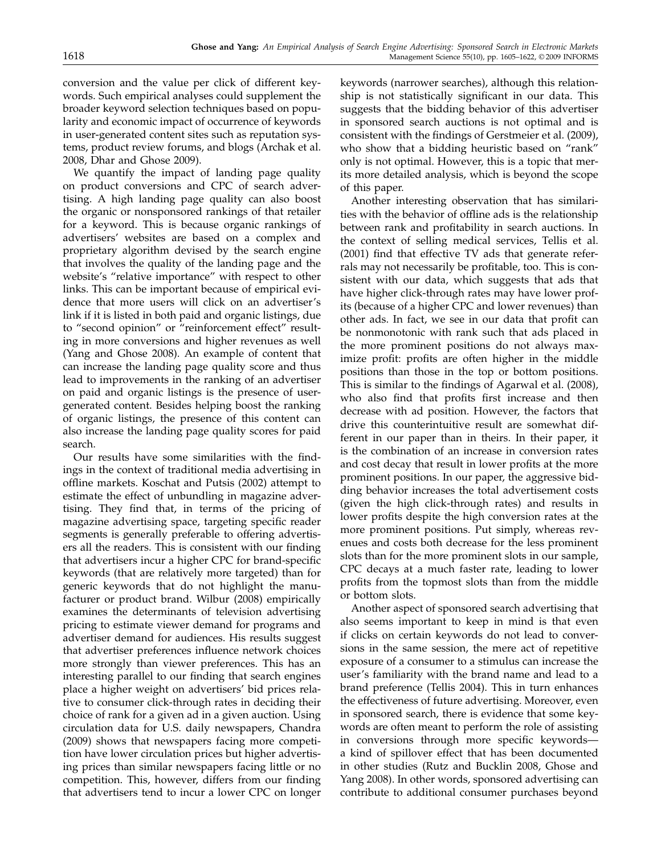conversion and the value per click of different keywords. Such empirical analyses could supplement the broader keyword selection techniques based on popularity and economic impact of occurrence of keywords in user-generated content sites such as reputation systems, product review forums, and blogs (Archak et al. 2008, Dhar and Ghose 2009).

We quantify the impact of landing page quality on product conversions and CPC of search advertising. A high landing page quality can also boost the organic or nonsponsored rankings of that retailer for a keyword. This is because organic rankings of advertisers' websites are based on a complex and proprietary algorithm devised by the search engine that involves the quality of the landing page and the website's "relative importance" with respect to other links. This can be important because of empirical evidence that more users will click on an advertiser's link if it is listed in both paid and organic listings, due to "second opinion" or "reinforcement effect" resulting in more conversions and higher revenues as well (Yang and Ghose 2008). An example of content that can increase the landing page quality score and thus lead to improvements in the ranking of an advertiser on paid and organic listings is the presence of usergenerated content. Besides helping boost the ranking of organic listings, the presence of this content can also increase the landing page quality scores for paid search.

Our results have some similarities with the findings in the context of traditional media advertising in offline markets. Koschat and Putsis (2002) attempt to estimate the effect of unbundling in magazine advertising. They find that, in terms of the pricing of magazine advertising space, targeting specific reader segments is generally preferable to offering advertisers all the readers. This is consistent with our finding that advertisers incur a higher CPC for brand-specific keywords (that are relatively more targeted) than for generic keywords that do not highlight the manufacturer or product brand. Wilbur (2008) empirically examines the determinants of television advertising pricing to estimate viewer demand for programs and advertiser demand for audiences. His results suggest that advertiser preferences influence network choices more strongly than viewer preferences. This has an interesting parallel to our finding that search engines place a higher weight on advertisers' bid prices relative to consumer click-through rates in deciding their choice of rank for a given ad in a given auction. Using circulation data for U.S. daily newspapers, Chandra (2009) shows that newspapers facing more competition have lower circulation prices but higher advertising prices than similar newspapers facing little or no competition. This, however, differs from our finding that advertisers tend to incur a lower CPC on longer

keywords (narrower searches), although this relationship is not statistically significant in our data. This suggests that the bidding behavior of this advertiser in sponsored search auctions is not optimal and is consistent with the findings of Gerstmeier et al. (2009), who show that a bidding heuristic based on "rank" only is not optimal. However, this is a topic that merits more detailed analysis, which is beyond the scope of this paper.

Another interesting observation that has similarities with the behavior of offline ads is the relationship between rank and profitability in search auctions. In the context of selling medical services, Tellis et al. (2001) find that effective TV ads that generate referrals may not necessarily be profitable, too. This is consistent with our data, which suggests that ads that have higher click-through rates may have lower profits (because of a higher CPC and lower revenues) than other ads. In fact, we see in our data that profit can be nonmonotonic with rank such that ads placed in the more prominent positions do not always maximize profit: profits are often higher in the middle positions than those in the top or bottom positions. This is similar to the findings of Agarwal et al. (2008), who also find that profits first increase and then decrease with ad position. However, the factors that drive this counterintuitive result are somewhat different in our paper than in theirs. In their paper, it is the combination of an increase in conversion rates and cost decay that result in lower profits at the more prominent positions. In our paper, the aggressive bidding behavior increases the total advertisement costs (given the high click-through rates) and results in lower profits despite the high conversion rates at the more prominent positions. Put simply, whereas revenues and costs both decrease for the less prominent slots than for the more prominent slots in our sample, CPC decays at a much faster rate, leading to lower profits from the topmost slots than from the middle or bottom slots.

Another aspect of sponsored search advertising that also seems important to keep in mind is that even if clicks on certain keywords do not lead to conversions in the same session, the mere act of repetitive exposure of a consumer to a stimulus can increase the user's familiarity with the brand name and lead to a brand preference (Tellis 2004). This in turn enhances the effectiveness of future advertising. Moreover, even in sponsored search, there is evidence that some keywords are often meant to perform the role of assisting in conversions through more specific keywords a kind of spillover effect that has been documented in other studies (Rutz and Bucklin 2008, Ghose and Yang 2008). In other words, sponsored advertising can contribute to additional consumer purchases beyond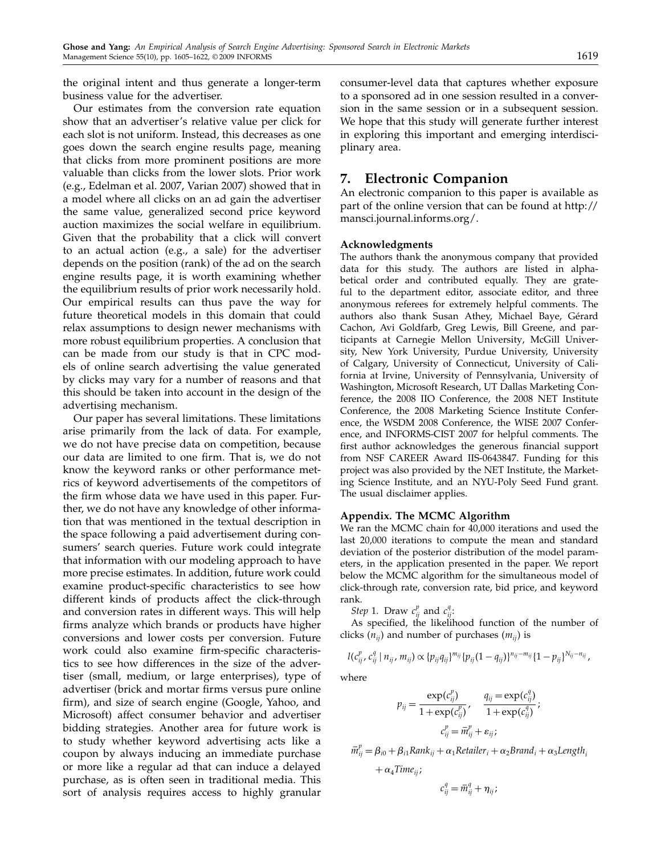the original intent and thus generate a longer-term business value for the advertiser.

Our estimates from the conversion rate equation show that an advertiser's relative value per click for each slot is not uniform. Instead, this decreases as one goes down the search engine results page, meaning that clicks from more prominent positions are more valuable than clicks from the lower slots. Prior work (e.g., Edelman et al. 2007, Varian 2007) showed that in a model where all clicks on an ad gain the advertiser the same value, generalized second price keyword auction maximizes the social welfare in equilibrium. Given that the probability that a click will convert to an actual action (e.g., a sale) for the advertiser depends on the position (rank) of the ad on the search engine results page, it is worth examining whether the equilibrium results of prior work necessarily hold. Our empirical results can thus pave the way for future theoretical models in this domain that could relax assumptions to design newer mechanisms with more robust equilibrium properties. A conclusion that can be made from our study is that in CPC models of online search advertising the value generated by clicks may vary for a number of reasons and that this should be taken into account in the design of the advertising mechanism.

Our paper has several limitations. These limitations arise primarily from the lack of data. For example, we do not have precise data on competition, because our data are limited to one firm. That is, we do not know the keyword ranks or other performance metrics of keyword advertisements of the competitors of the firm whose data we have used in this paper. Further, we do not have any knowledge of other information that was mentioned in the textual description in the space following a paid advertisement during consumers' search queries. Future work could integrate that information with our modeling approach to have more precise estimates. In addition, future work could examine product-specific characteristics to see how different kinds of products affect the click-through and conversion rates in different ways. This will help firms analyze which brands or products have higher conversions and lower costs per conversion. Future work could also examine firm-specific characteristics to see how differences in the size of the advertiser (small, medium, or large enterprises), type of advertiser (brick and mortar firms versus pure online firm), and size of search engine (Google, Yahoo, and Microsoft) affect consumer behavior and advertiser bidding strategies. Another area for future work is to study whether keyword advertising acts like a coupon by always inducing an immediate purchase or more like a regular ad that can induce a delayed purchase, as is often seen in traditional media. This sort of analysis requires access to highly granular

consumer-level data that captures whether exposure to a sponsored ad in one session resulted in a conversion in the same session or in a subsequent session. We hope that this study will generate further interest in exploring this important and emerging interdisciplinary area.

### 7. Electronic Companion

An electronic companion to this paper is available as part of the online version that can be found at http:// mansci.journal.informs.org/.

#### Acknowledgments

The authors thank the anonymous company that provided data for this study. The authors are listed in alphabetical order and contributed equally. They are grateful to the department editor, associate editor, and three anonymous referees for extremely helpful comments. The authors also thank Susan Athey, Michael Baye, Gérard Cachon, Avi Goldfarb, Greg Lewis, Bill Greene, and participants at Carnegie Mellon University, McGill University, New York University, Purdue University, University of Calgary, University of Connecticut, University of California at Irvine, University of Pennsylvania, University of Washington, Microsoft Research, UT Dallas Marketing Conference, the 2008 IIO Conference, the 2008 NET Institute Conference, the 2008 Marketing Science Institute Conference, the WSDM 2008 Conference, the WISE 2007 Conference, and INFORMS-CIST 2007 for helpful comments. The first author acknowledges the generous financial support from NSF CAREER Award IIS-0643847. Funding for this project was also provided by the NET Institute, the Marketing Science Institute, and an NYU-Poly Seed Fund grant. The usual disclaimer applies.

#### Appendix. The MCMC Algorithm

We ran the MCMC chain for 40,000 iterations and used the last 20,000 iterations to compute the mean and standard deviation of the posterior distribution of the model parameters, in the application presented in the paper. We report below the MCMC algorithm for the simultaneous model of click-through rate, conversion rate, bid price, and keyword rank.

Step 1. Draw  $c_{ij}^p$  and  $c_{ij}^q$ :

As specified, the likelihood function of the number of clicks ( $n_{ii}$ ) and number of purchases ( $m_{ii}$ ) is

$$
l(c_{ij}^p, c_{ij}^q \mid n_{ij}, m_{ij}) \propto \{p_{ij} q_{ij}\}^{m_{ij}} \{p_{ij}(1-q_{ij})\}^{n_{ij}-m_{ij}} \{1-p_{ij}\}^{N_{ij}-n_{ij}},
$$

where

$$
p_{ij} = \frac{\exp(c_{ij}^p)}{1 + \exp(c_{ij}^p)}, \quad \frac{q_{ij} = \exp(c_{ij}^q)}{1 + \exp(c_{ij}^q)};
$$

$$
c_{ij}^p = \overline{m}_{ij}^p + \varepsilon_{ij};
$$

$$
\bar{m}_{ij}^p = \beta_{i0} + \beta_{i1}Rank_{ij} + \alpha_1Retailer_i + \alpha_2Brand_i + \alpha_3Length_i
$$
  
+  $\alpha_4Time_{ij}$ ;

$$
c_{ij}^q = \bar{m}_{ij}^q + \eta_{ij};
$$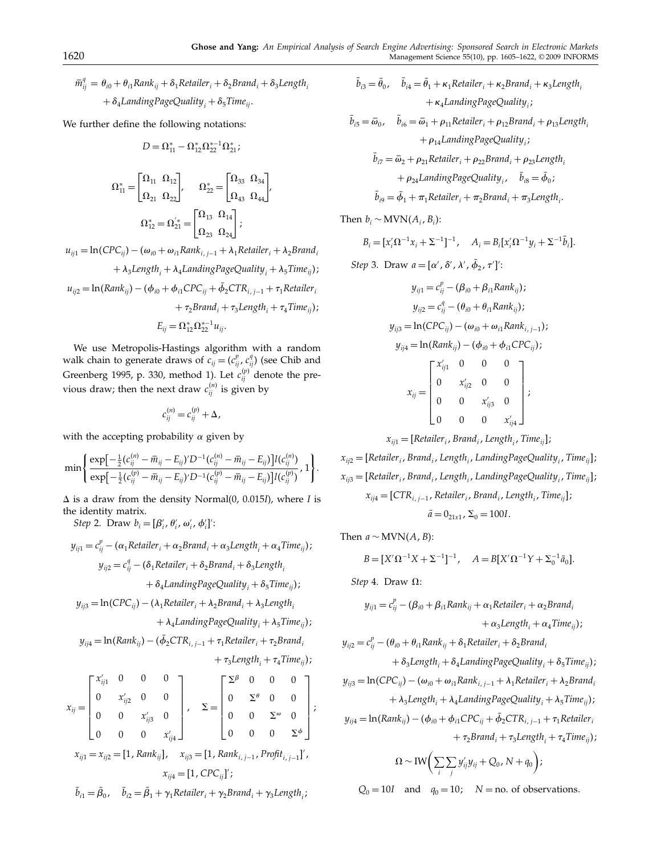$\bar{m}_{ij}^q = \theta_{i0} + \theta_{i1} Rank_{ij} + \delta_1 Retailer_i + \delta_2 Brand_i + \delta_3Length_i$ +  $\delta_4$ *LandingPageQuality<sub>i</sub>* +  $\delta_5$ *Time<sub>ij</sub>*.

We further define the following notations:

$$
D = \Omega_{11}^* - \Omega_{12}^* \Omega_{22}^{*-1} \Omega_{21}^*;
$$

$$
\begin{aligned} \Omega_{11}^* = \begin{bmatrix} \Omega_{11} & \Omega_{12} \\ \Omega_{21} & \Omega_{22} \end{bmatrix} & \Omega_{22}^* = \begin{bmatrix} \Omega_{33} & \Omega_{34} \\ \Omega_{43} & \Omega_{44} \end{bmatrix} & \\ & \Omega_{12}^* = \Omega_{21}^{'*} = \begin{bmatrix} \Omega_{13} & \Omega_{14} \\ \Omega_{23} & \Omega_{24} \end{bmatrix} & ; \end{aligned}
$$

 $u_{ij1} = \ln(CPC_{ij}) - (\omega_{i0} + \omega_{i1}Rank_{i,j-1} + \lambda_1Retailer_i + \lambda_2Brand_i)$  $+\lambda_3$ Length<sub>i</sub> +  $\lambda_4$ LandingPageQuality<sub>i</sub> +  $\lambda_5$ Time<sub>ij</sub>);

$$
u_{ij2} = \ln(Rank_{ij}) - (\phi_{i0} + \phi_{i1}CPC_{ij} + \phi_2CTR_{i,j-1} + \tau_1 Retailer_i
$$

$$
+ \tau_2 Brand_i + \tau_3Length_i + \tau_4Time_{ij});
$$

$$
E_{ij} = \Omega_{12}^* \Omega_{22}^{*-1} u_{ij}.
$$

We use Metropolis-Hastings algorithm with a random walk chain to generate draws of  $c_{ij} = (c_{ij}^p, c_{ij}^q)$  (see Chib and Greenberg 1995, p. 330, method 1). Let  $c_{ij}^{(p)}$  denote the previous draw; then the next draw  $c_{ij}^{(n)}$  is given by

$$
c_{ij}^{(n)}=c_{ij}^{(p)}+\Delta,
$$

with the accepting probability  $\alpha$  given by

$$
\min\left\{\frac{\exp[-\frac{1}{2}(c_{ij}^{(n)}-\bar{m}_{ij}-E_{ij})'D^{-1}(c_{ij}^{(n)}-\bar{m}_{ij}-E_{ij})]I(c_{ij}^{(n)})}{\exp[-\frac{1}{2}(c_{ij}^{(p)}-\bar{m}_{ij}-E_{ij})'D^{-1}(c_{ij}^{(p)}-\bar{m}_{ij}-E_{ij})]I(c_{ij}^{(p)})},1\right\}.
$$

 $\Delta$  is a draw from the density Normal(0, 0.015I), where I is the identity matrix.

Step 2. Draw  $b_i = [\beta'_i, \theta'_i, \omega'_i, \phi'_i]'$ :

$$
y_{ij1} = c_{ij}^p - (\alpha_1 Retailer_i + \alpha_2 Brand_i + \alpha_3Length_i + \alpha_4Time_{ij});
$$
  
\n
$$
y_{ij2} = c_{ij}^q - (\delta_1 Retailer_i + \delta_2Brand_i + \delta_3Length_i + \delta_4LandingPageQuality_i + \delta_5Time_{ij});
$$

$$
y_{ij3} = \ln(CPC_{ij}) - (\lambda_1 Retailer_i + \lambda_2 Brand_i + \lambda_3Length_i
$$

 $+\lambda_4$ LandingPageQuality<sub>i</sub> +  $\lambda_5$ Time<sub>ij</sub>);

$$
y_{ij4} = \ln(Rank_{ij}) - (\bar{\phi}_2CTR_{i,j-1} + \tau_1 Retailer_i + \tau_2 Brand_i
$$

$$
+ \tau_3Length_i + \tau_4Time_{ij});
$$

$$
x_{ij} = \begin{bmatrix} x'_{ij1} & 0 & 0 & 0 \ 0 & x'_{ij2} & 0 & 0 \ 0 & 0 & x'_{ij3} & 0 \ 0 & 0 & 0 & x'_{ij4} \end{bmatrix}, \quad \Sigma = \begin{bmatrix} \Sigma^{\beta} & 0 & 0 & 0 \ 0 & \Sigma^{\varphi} & 0 & 0 \ 0 & 0 & \Sigma^{\varphi} & 0 \ 0 & 0 & 0 & \Sigma^{\varphi} \end{bmatrix};
$$
  
\n
$$
x_{ij1} = x_{ij2} = [1, Rank_{ij}], \quad x_{ij3} = [1, Rank_{i,j-1}, Profit_{i,j-1}]',
$$
  
\n
$$
x_{ij4} = [1, CPC_{ij}]';
$$

$$
\bar{b}_{i1} = \bar{\beta}_0, \quad \bar{b}_{i2} = \bar{\beta}_1 + \gamma_1 Retailer_i + \gamma_2 Brand_i + \gamma_3Length_i;
$$

$$
\bar{b}_{i3} = \bar{\theta}_0, \quad \bar{b}_{i4} = \bar{\theta}_1 + \kappa_1 Retailer_i + \kappa_2 Brand_i + \kappa_3Length_i
$$

$$
+ \kappa_4 LandingPageQuality_i;
$$

$$
\bar{b}_{i5} = \bar{\omega}_0, \quad \bar{b}_{i6} = \bar{\omega}_1 + \rho_{11Retailer_i + \rho_{12}Brand_i + \rho_{13Length_i}
$$

$$
+ \rho_{14LandingPageQuality_i;
$$

$$
\bar{b}_{i7} = \bar{\omega}_2 + \rho_{21Retailer_i + \rho_{22Brand_i} + \rho_{23Length_i}
$$

$$
+ \rho_{24 LandingPageQuality_i, \quad \bar{b}_{i8} = \bar{\phi}_0;
$$

$$
\bar{b}_{i9} = \bar{\phi}_1 + \pi_1 Retailer_i + \pi_2 Brand_i + \pi_3Length_i.
$$

Then  $b_i \sim \text{MVN}(A_i, B_i)$ :

$$
B_i = [x_i' \Omega^{-1} x_i + \Sigma^{-1}]^{-1}, \quad A_i = B_i [x_i' \Omega^{-1} y_i + \Sigma^{-1} \bar{b}_i].
$$

Step 3. Draw  $a = [\alpha', \delta', \lambda', \phi_2, \tau']$ :

$$
y_{ij1} = c_{ij}^{p} - (\beta_{i0} + \beta_{i1}Rank_{ij});
$$
  
\n
$$
y_{ij2} = c_{ij}^{q} - (\theta_{i0} + \theta_{i1}Rank_{ij});
$$
  
\n
$$
y_{ij3} = \ln(CPC_{ij}) - (\omega_{i0} + \omega_{i1}Rank_{i,j-1});
$$
  
\n
$$
y_{ij4} = \ln(Rank_{ij}) - (\phi_{i0} + \phi_{i1}CPC_{ij});
$$
  
\n
$$
x_{ij} = \begin{bmatrix} x'_{ij1} & 0 & 0 & 0 \\ 0 & x'_{ij2} & 0 & 0 \\ 0 & 0 & x'_{ij3} & 0 \\ 0 & 0 & 0 & x'_{ij4} \end{bmatrix};
$$

$$
x_{ij1} = [Retailer_i, Brand_i, Length_i, Time_{ij}];
$$

$$
x_{ij2} = [Retailer_i, Brand_i, Length_i, LandingPageQuality_i, Time_{ij}];
$$
  
\n
$$
x_{ij3} = [Retailer_i, Brand_i, Length_i, LandingPageQuality_i, Time_{ij}];
$$
  
\n
$$
x_{ij4} = [CTR_{i,j-1}, Retailer_i, Brand_i, Length_i, Time_{ij}];
$$
  
\n
$$
\bar{a} = 0_{21x1}, \Sigma_0 = 100I.
$$

Then  $a \sim \text{MVN}(A, B)$ :

$$
B = [X'\Omega^{-1}X + \Sigma^{-1}]^{-1}, \quad A = B[X'\Omega^{-1}Y + \Sigma_0^{-1}\bar{a}_0].
$$

Step 4. Draw  $\Omega$ :

$$
y_{ij1} = c_{ij}^p - (\beta_{i0} + \beta_{i1}Rank_{ij} + \alpha_1Retailer_i + \alpha_2Brand_i
$$
  
+ 
$$
\alpha_3Length_i + \alpha_4Time_{ij});
$$

$$
y_{ij2} = c_{ij}^p - (\theta_{i0} + \theta_{i1} Rank_{ij} + \delta_1 Retailer_i + \delta_2 Brand_i
$$

+ 
$$
\delta_3
$$
Length<sub>i</sub> +  $\delta_4$ LandingPageQuality<sub>i</sub> +  $\delta_5$ Time<sub>ij</sub>);  
\n
$$
y_{ij3} = \ln(CPC_{ij}) - (\omega_{i0} + \omega_{i1}Rank_{i,j-1} + \lambda_1Retailer_i + \lambda_2Brand_i + \lambda_3Length_i + \lambda_4 LandingPageQuality_i + \lambda_5Time_{ij});
$$

$$
y_{ij4} = \ln(Rank_{ij}) - (\phi_{i0} + \phi_{i1}CPC_{ij} + \bar{\phi}_2CTR_{i,j-1} + \tau_1 Retailer_i
$$
  
+ 
$$
\tau_2Brand_i + \tau_3Length_i + \tau_4Time_{ij});
$$

$$
\Omega \sim \text{IW}\bigg(\sum_i \sum_j y'_{ij}y_{ij} + Q_0, N + q_0\bigg);
$$

 $Q_0 = 10I$  and  $q_0 = 10$ ;  $N =$  no. of observations.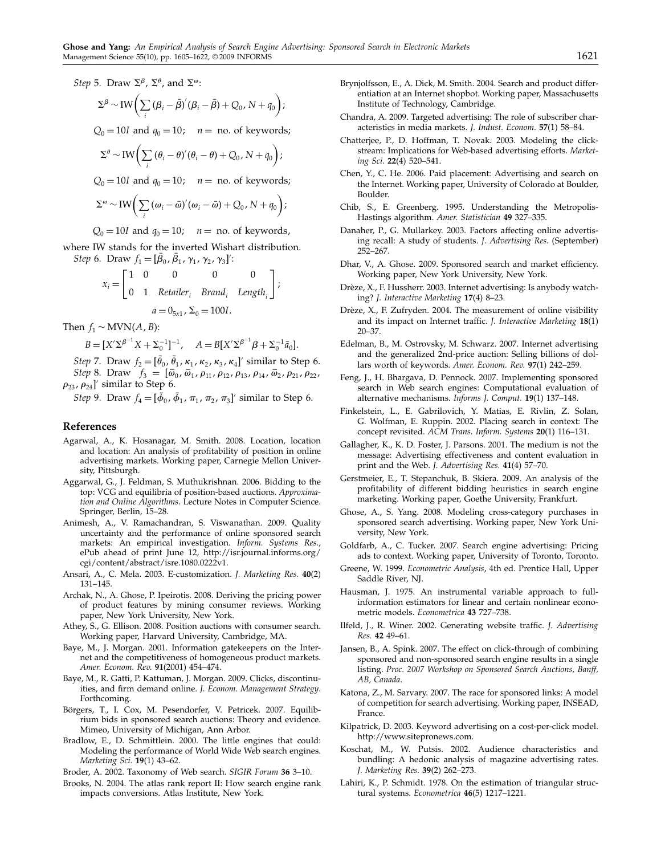Step 5. Draw  $\Sigma^{\beta}$ ,  $\Sigma^{\theta}$ , and  $\Sigma^{\omega}$ :

$$
\Sigma^{\beta} \sim \text{IW}\bigg(\sum_{i} \left(\beta_{i} - \bar{\beta}\right)'(\beta_{i} - \bar{\beta}) + Q_{0}, N + q_{0}\bigg);
$$

 $Q_0 = 10I$  and  $q_0 = 10$ ;  $n =$  no. of keywords;

$$
\Sigma^{\theta} \sim \text{IW}\bigg(\sum_{i} (\theta_i - \theta)'(\theta_i - \theta) + Q_0, N + q_0\bigg);
$$

 $Q_0 = 10I$  and  $q_0 = 10$ ;  $n =$  no. of keywords;

$$
\Sigma^{\omega} \sim \text{IW}\bigg(\sum_i \left(\omega_i - \bar{\omega}\right)'(\omega_i - \bar{\omega}) + Q_0, N + q_0\bigg);
$$

 $Q_0 = 10I$  and  $q_0 = 10$ ;  $n =$  no. of keywords,

where IW stands for the inverted Wishart distribution. Step 6. Draw  $f_1 = [\beta_0, \beta_1, \gamma_1, \gamma_2, \gamma_3]'$ :

$$
x_i = \begin{bmatrix} 1 & 0 & 0 & 0 & 0 \\ 0 & 1 & Retailer_i & Brand_i & Length_i \end{bmatrix};
$$

$$
a = 0_{5x1}, \Sigma_0 = 100I.
$$

Then  $f_1 \sim \text{MVN}(A, B)$ :

$$
B = [X' \Sigma^{\beta^{-1}} X + \Sigma_0^{-1}]^{-1}, \quad A = B[X' \Sigma^{\beta^{-1}} \beta + \Sigma_0^{-1} \bar{a}_0].
$$

Step 7. Draw  $f_2 = [\theta_0, \theta_1, \kappa_1, \kappa_2, \kappa_3, \kappa_4]'$  similar to Step 6. Step 8. Draw  $f_3 = [\bar{\omega}_0, \bar{\omega}_1, \rho_{11}, \rho_{12}, \rho_{13}, \rho_{14}, \bar{\omega}_2, \rho_{21}, \rho_{22},$  $\rho_{23}$ ,  $\rho_{24}$ ]' similar to Step 6.

*Step* 9. Draw  $f_4 = [\phi_0, \phi_1, \pi_1, \pi_2, \pi_3]'$  similar to Step 6.

#### References

- Agarwal, A., K. Hosanagar, M. Smith. 2008. Location, location and location: An analysis of profitability of position in online advertising markets. Working paper, Carnegie Mellon University, Pittsburgh.
- Aggarwal, G., J. Feldman, S. Muthukrishnan. 2006. Bidding to the top: VCG and equilibria of position-based auctions. Approximation and Online Algorithms. Lecture Notes in Computer Science. Springer, Berlin, 15–28.
- Animesh, A., V. Ramachandran, S. Viswanathan. 2009. Quality uncertainty and the performance of online sponsored search markets: An empirical investigation. Inform. Systems Res., ePub ahead of print June 12, http://isr.journal.informs.org/ cgi/content/abstract/isre.1080.0222v1.
- Ansari, A., C. Mela. 2003. E-customization. J. Marketing Res. 40(2) 131–145.
- Archak, N., A. Ghose, P. Ipeirotis. 2008. Deriving the pricing power of product features by mining consumer reviews. Working paper, New York University, New York.
- Athey, S., G. Ellison. 2008. Position auctions with consumer search. Working paper, Harvard University, Cambridge, MA.
- Baye, M., J. Morgan. 2001. Information gatekeepers on the Internet and the competitiveness of homogeneous product markets. Amer. Econom. Rev. 91(2001) 454–474.
- Baye, M., R. Gatti, P. Kattuman, J. Morgan. 2009. Clicks, discontinuities, and firm demand online. J. Econom. Management Strategy. Forthcoming.
- Börgers, T., I. Cox, M. Pesendorfer, V. Petricek. 2007. Equilibrium bids in sponsored search auctions: Theory and evidence. Mimeo, University of Michigan, Ann Arbor.
- Bradlow, E., D. Schmittlein. 2000. The little engines that could: Modeling the performance of World Wide Web search engines. Marketing Sci. 19(1) 43–62.

Broder, A. 2002. Taxonomy of Web search. SIGIR Forum 36 3-10.

Brooks, N. 2004. The atlas rank report II: How search engine rank impacts conversions. Atlas Institute, New York.

- Brynjolfsson, E., A. Dick, M. Smith. 2004. Search and product differentiation at an Internet shopbot. Working paper, Massachusetts Institute of Technology, Cambridge.
- Chandra, A. 2009. Targeted advertising: The role of subscriber characteristics in media markets. J. Indust. Econom. 57(1) 58–84.
- Chatterjee, P., D. Hoffman, T. Novak. 2003. Modeling the clickstream: Implications for Web-based advertising efforts. Marketing Sci. 22(4) 520–541.
- Chen, Y., C. He. 2006. Paid placement: Advertising and search on the Internet. Working paper, University of Colorado at Boulder, Boulder.
- Chib, S., E. Greenberg. 1995. Understanding the Metropolis-Hastings algorithm. Amer. Statistician 49 327–335.
- Danaher, P., G. Mullarkey. 2003. Factors affecting online advertising recall: A study of students. J. Advertising Res. (September) 252–267.
- Dhar, V., A. Ghose. 2009. Sponsored search and market efficiency. Working paper, New York University, New York.
- Drèze, X., F. Hussherr. 2003. Internet advertising: Is anybody watching? J. Interactive Marketing 17(4) 8–23.
- Drèze, X., F. Zufryden. 2004. The measurement of online visibility and its impact on Internet traffic. J. Interactive Marketing 18(1) 20–37.
- Edelman, B., M. Ostrovsky, M. Schwarz. 2007. Internet advertising and the generalized 2nd-price auction: Selling billions of dollars worth of keywords. Amer. Econom. Rev. 97(1) 242–259.
- Feng, J., H. Bhargava, D. Pennock. 2007. Implementing sponsored search in Web search engines: Computational evaluation of alternative mechanisms. Informs J. Comput. 19(1) 137–148.
- Finkelstein, L., E. Gabrilovich, Y. Matias, E. Rivlin, Z. Solan, G. Wolfman, E. Ruppin. 2002. Placing search in context: The concept revisited. ACM Trans. Inform. Systems 20(1) 116–131.
- Gallagher, K., K. D. Foster, J. Parsons. 2001. The medium is not the message: Advertising effectiveness and content evaluation in print and the Web. J. Advertising Res. 41(4) 57–70.
- Gerstmeier, E., T. Stepanchuk, B. Skiera. 2009. An analysis of the profitability of different bidding heuristics in search engine marketing. Working paper, Goethe University, Frankfurt.
- Ghose, A., S. Yang. 2008. Modeling cross-category purchases in sponsored search advertising. Working paper, New York University, New York.
- Goldfarb, A., C. Tucker. 2007. Search engine advertising: Pricing ads to context. Working paper, University of Toronto, Toronto.
- Greene, W. 1999. Econometric Analysis, 4th ed. Prentice Hall, Upper Saddle River, NJ.
- Hausman, J. 1975. An instrumental variable approach to fullinformation estimators for linear and certain nonlinear econometric models. Econometrica 43 727–738.
- Ilfeld, J., R. Winer. 2002. Generating website traffic. J. Advertising Res. 42 49–61.
- Jansen, B., A. Spink. 2007. The effect on click-through of combining sponsored and non-sponsored search engine results in a single listing. Proc. 2007 Workshop on Sponsored Search Auctions, Banff, AB, Canada.
- Katona, Z., M. Sarvary. 2007. The race for sponsored links: A model of competition for search advertising. Working paper, INSEAD, France.
- Kilpatrick, D. 2003. Keyword advertising on a cost-per-click model. http://www.sitepronews.com.
- Koschat, M., W. Putsis. 2002. Audience characteristics and bundling: A hedonic analysis of magazine advertising rates. J. Marketing Res. 39(2) 262–273.
- Lahiri, K., P. Schmidt. 1978. On the estimation of triangular structural systems. Econometrica 46(5) 1217–1221.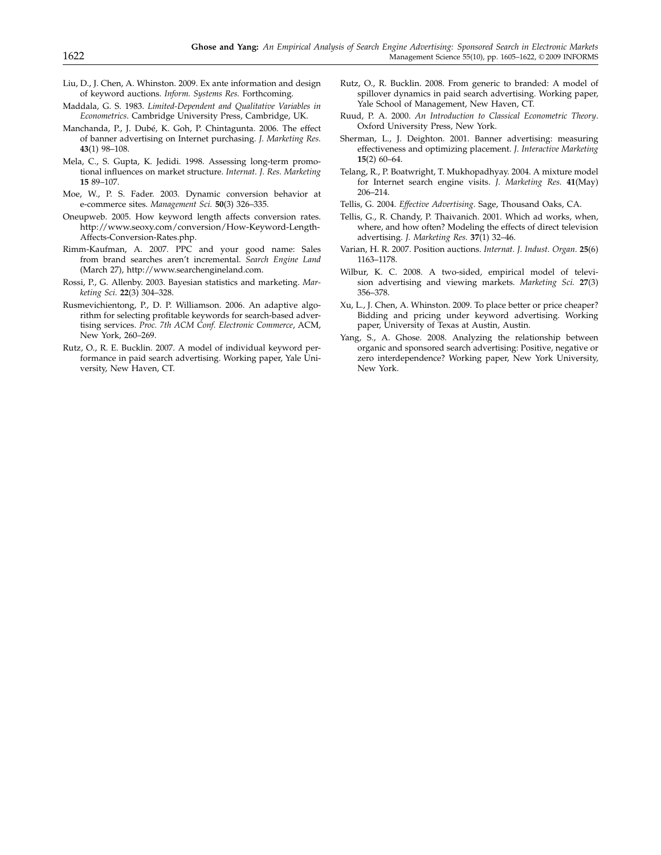- Liu, D., J. Chen, A. Whinston. 2009. Ex ante information and design of keyword auctions. Inform. Systems Res. Forthcoming.
- Maddala, G. S. 1983. Limited-Dependent and Qualitative Variables in Econometrics. Cambridge University Press, Cambridge, UK.
- Manchanda, P., J. Dubé, K. Goh, P. Chintagunta. 2006. The effect of banner advertising on Internet purchasing. J. Marketing Res. 43(1) 98–108.
- Mela, C., S. Gupta, K. Jedidi. 1998. Assessing long-term promotional influences on market structure. Internat. J. Res. Marketing 15 89–107.
- Moe, W., P. S. Fader. 2003. Dynamic conversion behavior at e-commerce sites. Management Sci. 50(3) 326–335.
- Oneupweb. 2005. How keyword length affects conversion rates. http://www.seoxy.com/conversion/How-Keyword-Length-Affects-Conversion-Rates.php.
- Rimm-Kaufman, A. 2007. PPC and your good name: Sales from brand searches aren't incremental. Search Engine Land (March 27), http://www.searchengineland.com.
- Rossi, P., G. Allenby. 2003. Bayesian statistics and marketing. Marketing Sci. 22(3) 304–328.
- Rusmevichientong, P., D. P. Williamson. 2006. An adaptive algorithm for selecting profitable keywords for search-based advertising services. Proc. 7th ACM Conf. Electronic Commerce, ACM, New York, 260–269.
- Rutz, O., R. E. Bucklin. 2007. A model of individual keyword performance in paid search advertising. Working paper, Yale University, New Haven, CT.
- Rutz, O., R. Bucklin. 2008. From generic to branded: A model of spillover dynamics in paid search advertising. Working paper, Yale School of Management, New Haven, CT.
- Ruud, P. A. 2000. An Introduction to Classical Econometric Theory. Oxford University Press, New York.
- Sherman, L., J. Deighton. 2001. Banner advertising: measuring effectiveness and optimizing placement. J. Interactive Marketing 15(2) 60–64.
- Telang, R., P. Boatwright, T. Mukhopadhyay. 2004. A mixture model for Internet search engine visits. J. Marketing Res. 41(May) 206–214.
- Tellis, G. 2004. Effective Advertising. Sage, Thousand Oaks, CA.
- Tellis, G., R. Chandy, P. Thaivanich. 2001. Which ad works, when, where, and how often? Modeling the effects of direct television advertising. J. Marketing Res. 37(1) 32–46.
- Varian, H. R. 2007. Position auctions. Internat. J. Indust. Organ. 25(6) 1163–1178.
- Wilbur, K. C. 2008. A two-sided, empirical model of television advertising and viewing markets. Marketing Sci. 27(3) 356–378.
- Xu, L., J. Chen, A. Whinston. 2009. To place better or price cheaper? Bidding and pricing under keyword advertising. Working paper, University of Texas at Austin, Austin.
- Yang, S., A. Ghose. 2008. Analyzing the relationship between organic and sponsored search advertising: Positive, negative or zero interdependence? Working paper, New York University, New York.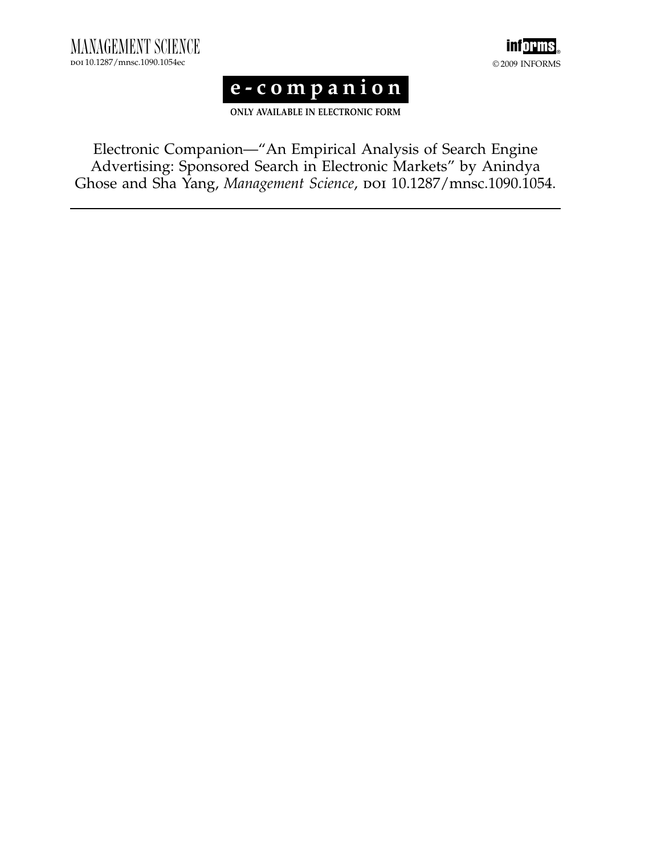





ONLY AVAILABLE IN ELECTRONIC FORM

Electronic Companion—"An Empirical Analysis of Search Engine Advertising: Sponsored Search in Electronic Markets" by Anindya Ghose and Sha Yang, Management Science, poi 10.1287/mnsc.1090.1054.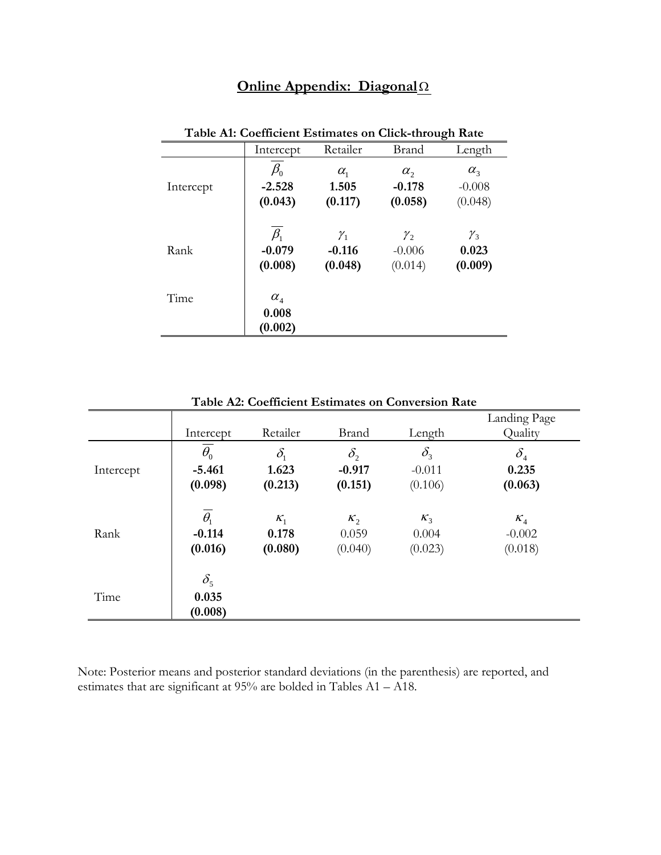## **Online Appendix: Diagonal**

| Table AI: Coemicient Estimates on Click-through Rate |                                                       |                                        |                                        |                                     |  |  |
|------------------------------------------------------|-------------------------------------------------------|----------------------------------------|----------------------------------------|-------------------------------------|--|--|
|                                                      | Intercept                                             | Retailer                               | Brand                                  | Length                              |  |  |
| Intercept                                            | $\beta_{\scriptscriptstyle 0}$<br>$-2.528$<br>(0.043) | $\alpha_{1}$<br>1.505<br>(0.117)       | $\alpha_{2}$<br>$-0.178$<br>(0.058)    | $\alpha_{3}$<br>$-0.008$<br>(0.048) |  |  |
| Rank                                                 | $\beta_1$<br>$-0.079$<br>(0.008)                      | $\mathcal{Y}_1$<br>$-0.116$<br>(0.048) | $\mathcal{Y}_2$<br>$-0.006$<br>(0.014) | $\gamma_{3}$<br>0.023<br>(0.009)    |  |  |
| Time                                                 | $\alpha_{\scriptscriptstyle{A}}$<br>0.008<br>(0.002)  |                                        |                                        |                                     |  |  |

## **Table A1: Coefficient Estimates on Click-through Rate**

|           |                                              |                                  |                                     | Table A2: Coefficient Estimates on Conversion Rate |                                                      |
|-----------|----------------------------------------------|----------------------------------|-------------------------------------|----------------------------------------------------|------------------------------------------------------|
|           | Intercept                                    | Retailer                         | <b>Brand</b>                        | Length                                             | Landing Page<br>Quality                              |
| Intercept | $\theta_{0}$<br>$-5.461$<br>(0.098)          | $\delta_{1}$<br>1.623<br>(0.213) | $\delta_{2}$<br>$-0.917$<br>(0.151) | $\delta_{3}$<br>$-0.011$<br>(0.106)                | $\delta_{\scriptscriptstyle{4}}$<br>0.235<br>(0.063) |
| Rank      | $\overline{\theta_1}$<br>$-0.114$<br>(0.016) | $K_1$<br>0.178<br>(0.080)        | $K_2$<br>0.059<br>(0.040)           | $K_3$<br>0.004<br>(0.023)                          | $K_4$<br>$-0.002$<br>(0.018)                         |
| Time      | $\delta_{5}$<br>0.035<br>(0.008)             |                                  |                                     |                                                    |                                                      |

**Table A2: Coefficient Estimates on Conversion Rate** 

Note: Posterior means and posterior standard deviations (in the parenthesis) are reported, and estimates that are significant at 95% are bolded in Tables A1 – A18.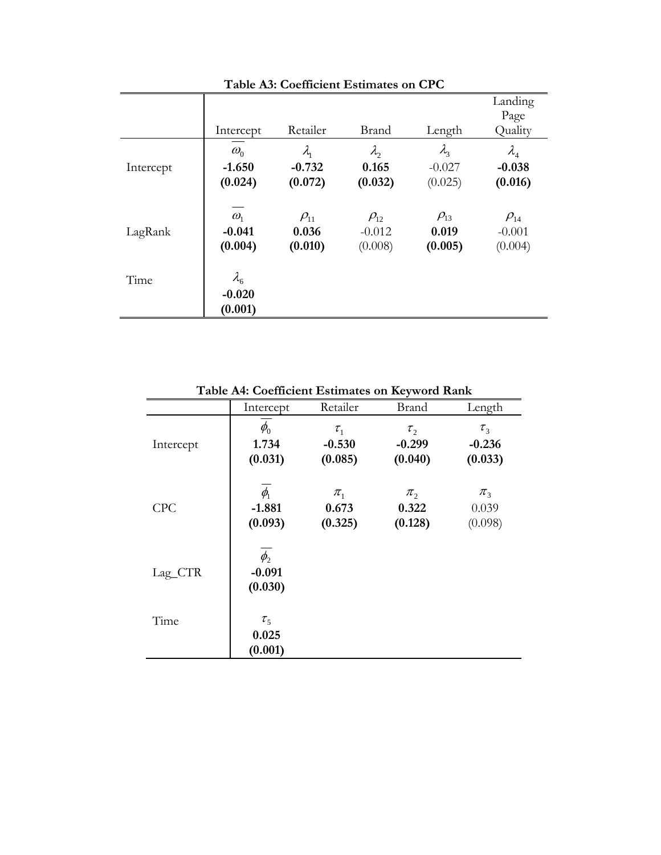|           | Intercept                            | Retailer      | <b>Brand</b>  | Length      | Landing<br>Page<br>Quality       |
|-----------|--------------------------------------|---------------|---------------|-------------|----------------------------------|
| Intercept | $\omega_{0}$                         | $\lambda_{1}$ | $\lambda_{2}$ | $\lambda$   | $\lambda_{\scriptscriptstyle 4}$ |
|           | $-1.650$                             | $-0.732$      | 0.165         | $-0.027$    | $-0.038$                         |
|           | (0.024)                              | (0.072)       | (0.032)       | (0.025)     | (0.016)                          |
| LagRank   | $\omega_{1}$                         | $\rho_{11}$   | $\rho_{12}$   | $\rho_{13}$ | $\rho_{\scriptscriptstyle{14}}$  |
|           | $-0.041$                             | 0.036         | $-0.012$      | 0.019       | $-0.001$                         |
|           | (0.004)                              | (0.010)       | (0.008)       | (0.005)     | (0.004)                          |
| Time      | $\lambda_{6}$<br>$-0.020$<br>(0.001) |               |               |             |                                  |

**Table A3: Coefficient Estimates on CPC** 

**Table A4: Coefficient Estimates on Keyword Rank** 

|           | Intercept                                             | Retailer                          | <b>Brand</b>                           | Length                                 |
|-----------|-------------------------------------------------------|-----------------------------------|----------------------------------------|----------------------------------------|
| Intercept | $\phi_{\scriptscriptstyle 0}$<br>1.734<br>(0.031)     | $\tau_{1}$<br>$-0.530$<br>(0.085) | $\tau_{2}$<br>$-0.299$<br>(0.040)      | $\tau_{3}$<br>$-0.236$<br>(0.033)      |
| CPC       | $\phi_{\scriptscriptstyle\!1}$<br>$-1.881$<br>(0.093) | $\pi_1$<br>0.673<br>(0.325)       | $\pi$ <sub>2</sub><br>0.322<br>(0.128) | $\pi$ <sub>3</sub><br>0.039<br>(0.098) |
| Lag_CTR   | $\phi_{2}$<br>$-0.091$<br>(0.030)                     |                                   |                                        |                                        |
| Time      | $\tau_{5}$<br>0.025                                   |                                   |                                        |                                        |
|           | (0.001)                                               |                                   |                                        |                                        |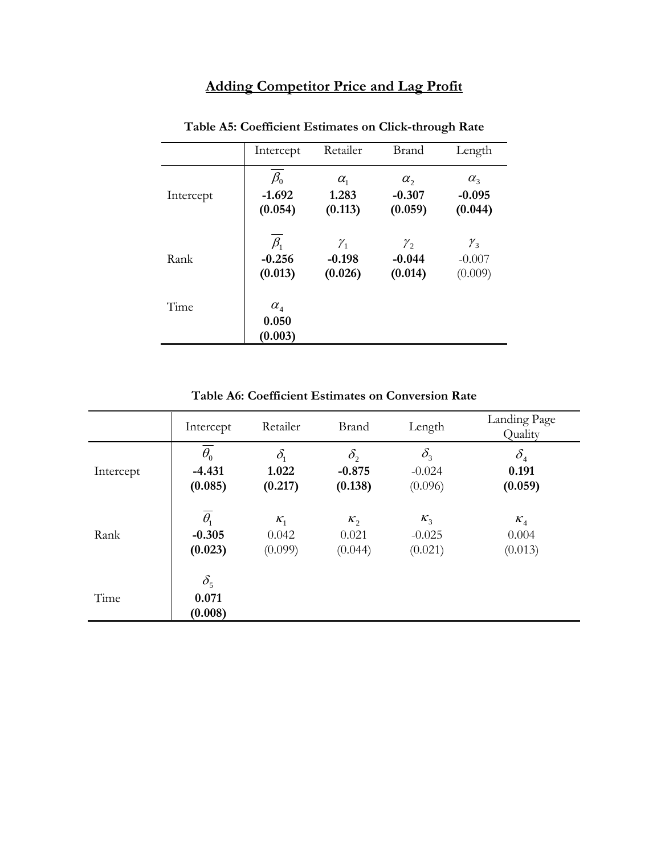## **Adding Competitor Price and Lag Profit**

|           | Intercept                                           | Retailer     | <b>Brand</b>    | Length       |
|-----------|-----------------------------------------------------|--------------|-----------------|--------------|
| Intercept | $\beta_0$                                           | $\alpha_{1}$ | $\alpha$ ,      | $\alpha_{3}$ |
|           | $-1.692$                                            | 1.283        | $-0.307$        | $-0.095$     |
|           | (0.054)                                             | (0.113)      | (0.059)         | (0.044)      |
| Rank      | $\beta_1$                                           | $\gamma_{1}$ | $\mathcal{Y}_2$ | $\gamma_{3}$ |
|           | $-0.256$                                            | $-0.198$     | $-0.044$        | $-0.007$     |
|           | (0.013)                                             | (0.026)      | (0.014)         | (0.009)      |
| Time      | $\alpha_{\scriptscriptstyle 4}$<br>0.050<br>(0.003) |              |                 |              |

**Table A5: Coefficient Estimates on Click-through Rate** 

**Table A6: Coefficient Estimates on Conversion Rate** 

|           | Intercept                        | Retailer     | <b>Brand</b> | Length       | Landing Page<br>Quality          |
|-----------|----------------------------------|--------------|--------------|--------------|----------------------------------|
| Intercept | $\overline{\theta_0}$            | $\delta_{1}$ | $\delta_{2}$ | $\delta_{3}$ | $\delta_{\scriptscriptstyle{4}}$ |
|           | $-4.431$                         | 1.022        | $-0.875$     | $-0.024$     | 0.191                            |
|           | (0.085)                          | (0.217)      | (0.138)      | (0.096)      | (0.059)                          |
| Rank      | $\theta_{1}$                     | $K_1$        | $K_2$        | $K_3$        | $K_4$                            |
|           | $-0.305$                         | 0.042        | 0.021        | $-0.025$     | 0.004                            |
|           | (0.023)                          | (0.099)      | (0.044)      | (0.021)      | (0.013)                          |
| Time      | $\delta_{5}$<br>0.071<br>(0.008) |              |              |              |                                  |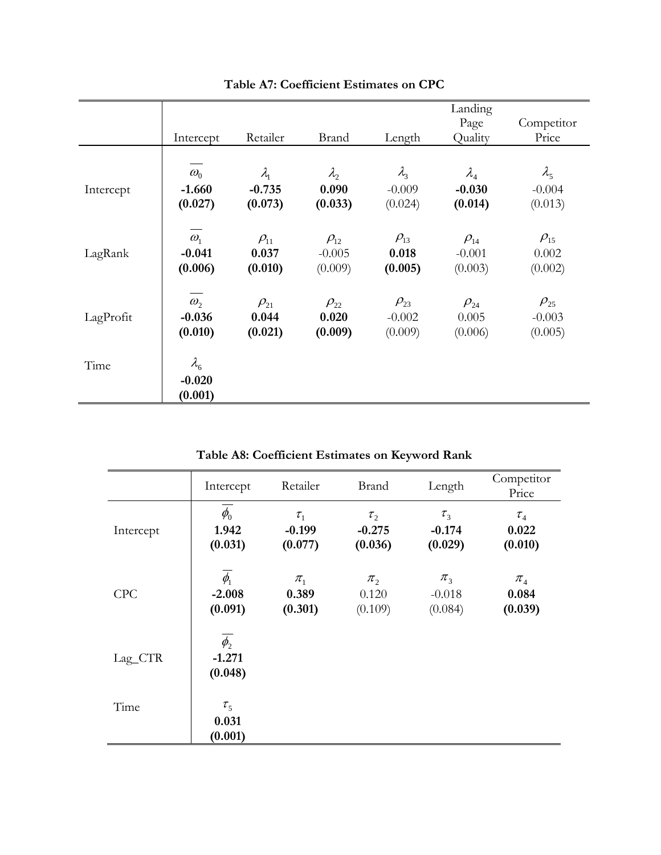|           | Intercept                            | Retailer      | <b>Brand</b> | Length        | Landing<br>Page<br>Quality        | Competitor<br>Price               |
|-----------|--------------------------------------|---------------|--------------|---------------|-----------------------------------|-----------------------------------|
| Intercept | $\omega_{0}$                         | $\lambda_{1}$ | $\lambda$    | $\lambda_{3}$ | $\lambda_{4}$                     | $\lambda_{5}$                     |
|           | $-1.660$                             | $-0.735$      | 0.090        | $-0.009$      | $-0.030$                          | $-0.004$                          |
|           | (0.027)                              | (0.073)       | (0.033)      | (0.024)       | (0.014)                           | (0.013)                           |
| LagRank   | $\omega_{1}$                         | $\rho_{11}$   | $\rho_{12}$  | $\rho_{13}$   | $\rho_{\scriptscriptstyle{14}}$   | $\rho_{\scriptscriptstyle{15}}$   |
|           | $-0.041$                             | 0.037         | $-0.005$     | 0.018         | $-0.001$                          | 0.002                             |
|           | (0.006)                              | (0.010)       | (0.009)      | (0.005)       | (0.003)                           | (0.002)                           |
| LagProfit | $\omega_{2}$                         | $\rho_{21}$   | $\rho_{22}$  | $\rho_{23}$   | $\rho_{\scriptscriptstyle 24}^{}$ | $\rho_{\scriptscriptstyle 25}^{}$ |
|           | $-0.036$                             | 0.044         | 0.020        | $-0.002$      | 0.005                             | $-0.003$                          |
|           | (0.010)                              | (0.021)       | (0.009)      | (0.009)       | (0.006)                           | (0.005)                           |
| Time      | $\lambda_{6}$<br>$-0.020$<br>(0.001) |               |              |               |                                   |                                   |

**Table A7: Coefficient Estimates on CPC** 

**Table A8: Coefficient Estimates on Keyword Rank** 

|           | Intercept                         | Retailer                          | <b>Brand</b>                           | Length                                    | Competitor<br>Price                              |
|-----------|-----------------------------------|-----------------------------------|----------------------------------------|-------------------------------------------|--------------------------------------------------|
| Intercept | $\phi_{0}$<br>1.942<br>(0.031)    | $\tau_{1}$<br>$-0.199$<br>(0.077) | $\tau_{2}$<br>$-0.275$<br>(0.036)      | $\tau_{3}$<br>$-0.174$<br>(0.029)         | $\tau_{_4}$<br>0.022<br>(0.010)                  |
| CPC       | $\phi_{1}$<br>$-2.008$<br>(0.091) | $\pi_1$<br>0.389<br>(0.301)       | $\pi$ <sub>2</sub><br>0.120<br>(0.109) | $\pi$ <sub>3</sub><br>$-0.018$<br>(0.084) | $\pi_{\scriptscriptstyle 4}$<br>0.084<br>(0.039) |
| Lag_CTR   | $\phi_{2}$<br>$-1.271$<br>(0.048) |                                   |                                        |                                           |                                                  |
| Time      | $\tau_{5}$<br>0.031<br>(0.001)    |                                   |                                        |                                           |                                                  |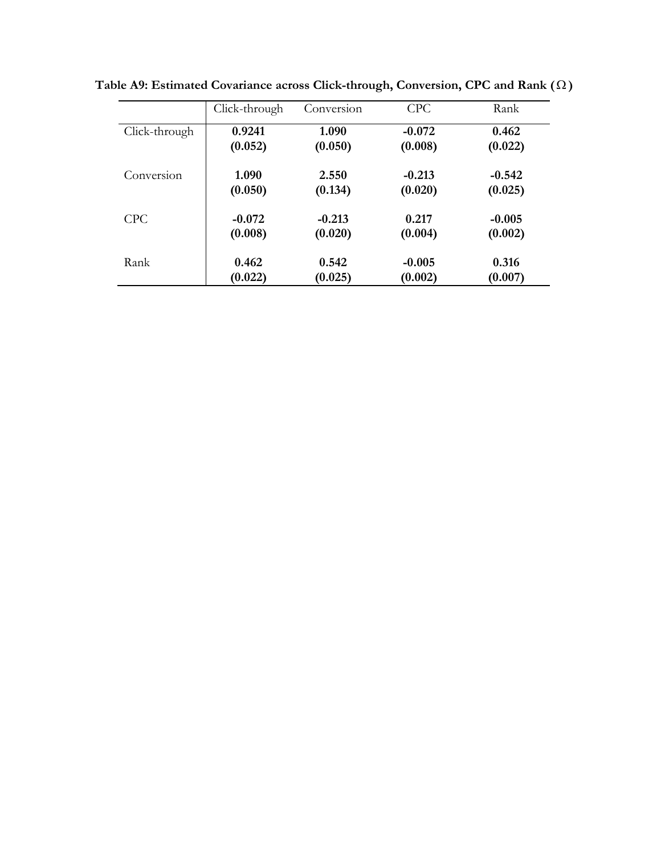|               | Click-through | Conversion | <b>CPC</b> | Rank     |
|---------------|---------------|------------|------------|----------|
| Click-through | 0.9241        | 1.090      | $-0.072$   | 0.462    |
|               | (0.052)       | (0.050)    | (0.008)    | (0.022)  |
| Conversion    | 1.090         | 2.550      | $-0.213$   | $-0.542$ |
|               | (0.050)       | (0.134)    | (0.020)    | (0.025)  |
| <b>CPC</b>    | $-0.072$      | $-0.213$   | 0.217      | $-0.005$ |
|               | (0.008)       | (0.020)    | (0.004)    | (0.002)  |
| Rank          | 0.462         | 0.542      | $-0.005$   | 0.316    |
|               | (0.022)       | (0.025)    | (0.002)    | (0.007)  |

**Table A9: Estimated Covariance across Click-through, Conversion, CPC and Rank ( )**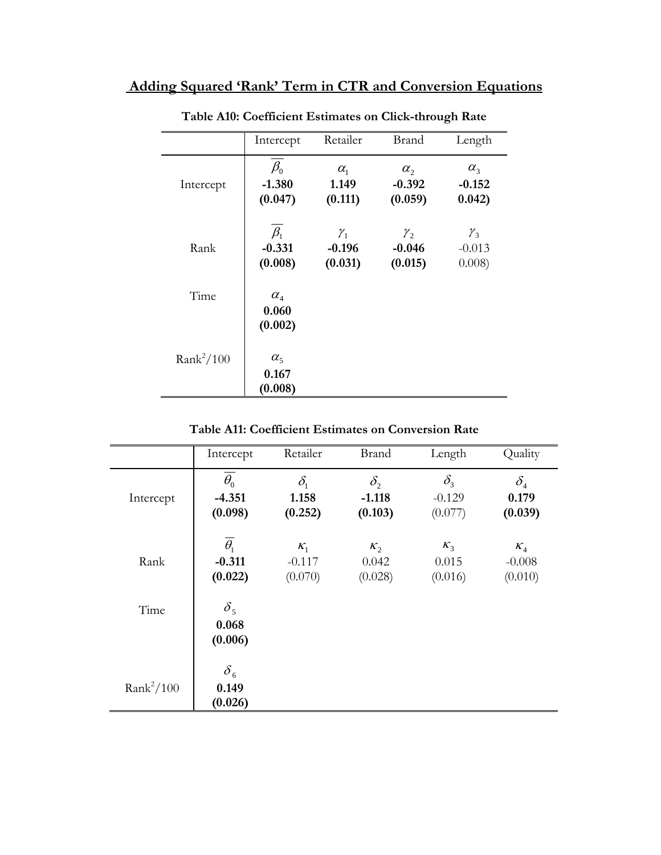## **Adding Squared 'Rank' Term in CTR and Conversion Equations**

|              | Intercept                                           | Retailer                               | <b>Brand</b>                           | Length                             |
|--------------|-----------------------------------------------------|----------------------------------------|----------------------------------------|------------------------------------|
| Intercept    | $\beta_0$<br>$-1.380$<br>(0.047)                    | $\alpha_{1}$<br>1.149<br>(0.111)       | $\alpha_{2}$<br>$-0.392$<br>(0.059)    | $\alpha_{3}$<br>$-0.152$<br>0.042) |
| Rank         | $\beta_1$<br>$-0.331$<br>(0.008)                    | $\mathcal{Y}_1$<br>$-0.196$<br>(0.031) | $\mathcal{Y}_2$<br>$-0.046$<br>(0.015) | $\gamma_{3}$<br>$-0.013$<br>0.008) |
| Time         | $\alpha_{\scriptscriptstyle 4}$<br>0.060<br>(0.002) |                                        |                                        |                                    |
| $Rank^2/100$ | $\alpha_{5}$<br>0.167<br>(0.008)                    |                                        |                                        |                                    |

## **Table A10: Coefficient Estimates on Click-through Rate**

|  |  |  | Table A11: Coefficient Estimates on Conversion Rate |  |
|--|--|--|-----------------------------------------------------|--|
|--|--|--|-----------------------------------------------------|--|

|              | Intercept                                    | Retailer                         | <b>Brand</b>                        | Length                              | Quality                                              |
|--------------|----------------------------------------------|----------------------------------|-------------------------------------|-------------------------------------|------------------------------------------------------|
| Intercept    | $\overline{\theta_0}$<br>$-4.351$<br>(0.098) | $\delta_{1}$<br>1.158<br>(0.252) | $\delta_{2}$<br>$-1.118$<br>(0.103) | $\delta_{3}$<br>$-0.129$<br>(0.077) | $\delta_{\scriptscriptstyle{4}}$<br>0.179<br>(0.039) |
| Rank         | $\overline{\theta_1}$<br>$-0.311$<br>(0.022) | $K_1$<br>$-0.117$<br>(0.070)     | $K_2$<br>0.042<br>(0.028)           | $K_3$<br>0.015<br>(0.016)           | $K_4$<br>$-0.008$<br>(0.010)                         |
| Time         | $\delta_{5}$<br>0.068<br>(0.006)             |                                  |                                     |                                     |                                                      |
| $Rank^2/100$ | $\delta_{\epsilon}$<br>0.149<br>(0.026)      |                                  |                                     |                                     |                                                      |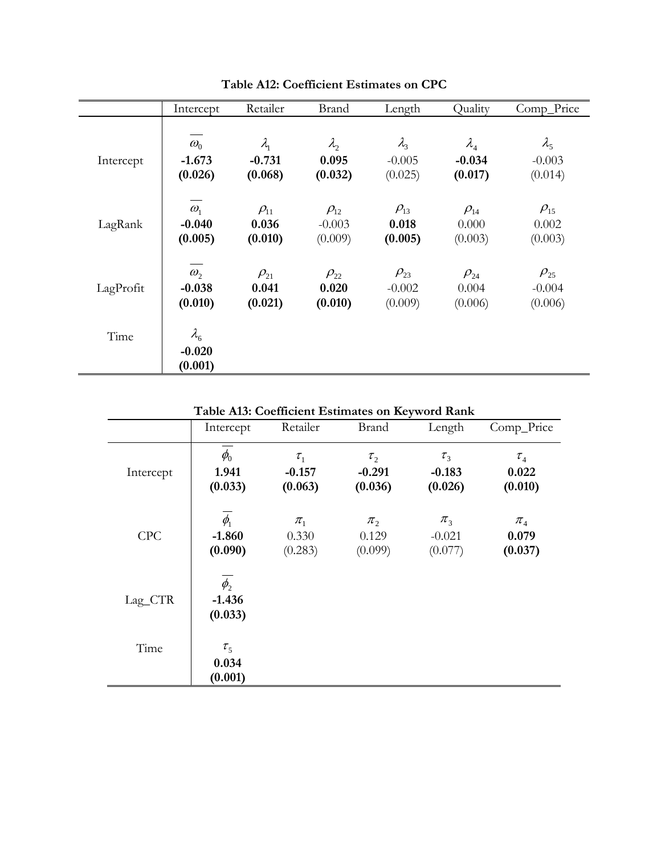|           | Intercept                            | Retailer      | <b>Brand</b> | Length        | Quality                          | Comp_Price                        |
|-----------|--------------------------------------|---------------|--------------|---------------|----------------------------------|-----------------------------------|
| Intercept | $\omega_{0}$                         | $\lambda_{1}$ | $\lambda$    | $\lambda_{3}$ | $\lambda_{\scriptscriptstyle 4}$ | $\lambda_{5}$                     |
|           | $-1.673$                             | $-0.731$      | 0.095        | $-0.005$      | $-0.034$                         | $-0.003$                          |
|           | (0.026)                              | (0.068)       | (0.032)      | (0.025)       | (0.017)                          | (0.014)                           |
| LagRank   | $\omega_{1}$                         | $\rho_{11}$   | $\rho_{12}$  | $\rho_{13}$   | $\rho_{\scriptscriptstyle{14}}$  | $\rho_{\scriptscriptstyle{15}}$   |
|           | $-0.040$                             | 0.036         | $-0.003$     | 0.018         | 0.000                            | 0.002                             |
|           | (0.005)                              | (0.010)       | (0.009)      | (0.005)       | (0.003)                          | (0.003)                           |
| LagProfit | $\omega_{2}$                         | $\rho_{21}$   | $\rho_{22}$  | $\rho_{23}$   | $\rho_{24}$                      | $\rho_{\scriptscriptstyle 25}^{}$ |
|           | $-0.038$                             | 0.041         | 0.020        | $-0.002$      | 0.004                            | $-0.004$                          |
|           | (0.010)                              | (0.021)       | (0.010)      | (0.009)       | (0.006)                          | (0.006)                           |
| Time      | $\lambda_{6}$<br>$-0.020$<br>(0.001) |               |              |               |                                  |                                   |

**Table A12: Coefficient Estimates on CPC** 

**Table A13: Coefficient Estimates on Keyword Rank** 

|            | Intercept                         | Retailer                          | <b>Brand</b>                           | Length                                    | Comp_Price                                       |
|------------|-----------------------------------|-----------------------------------|----------------------------------------|-------------------------------------------|--------------------------------------------------|
| Intercept  | $\phi_{0}$<br>1.941<br>(0.033)    | $\tau_{1}$<br>$-0.157$<br>(0.063) | $\tau_{2}$<br>$-0.291$<br>(0.036)      | $\tau_{3}$<br>$-0.183$<br>(0.026)         | $\tau_{_4}$<br>0.022<br>(0.010)                  |
| <b>CPC</b> | $\phi_1$<br>$-1.860$<br>(0.090)   | $\pi_{1}$<br>0.330<br>(0.283)     | $\pi$ <sub>2</sub><br>0.129<br>(0.099) | $\pi$ <sub>3</sub><br>$-0.021$<br>(0.077) | $\pi_{\scriptscriptstyle 4}$<br>0.079<br>(0.037) |
| Lag_CTR    | $\phi_{2}$<br>$-1.436$<br>(0.033) |                                   |                                        |                                           |                                                  |
| Time       | $\tau_{5}$<br>0.034               |                                   |                                        |                                           |                                                  |
|            | (0.001)                           |                                   |                                        |                                           |                                                  |